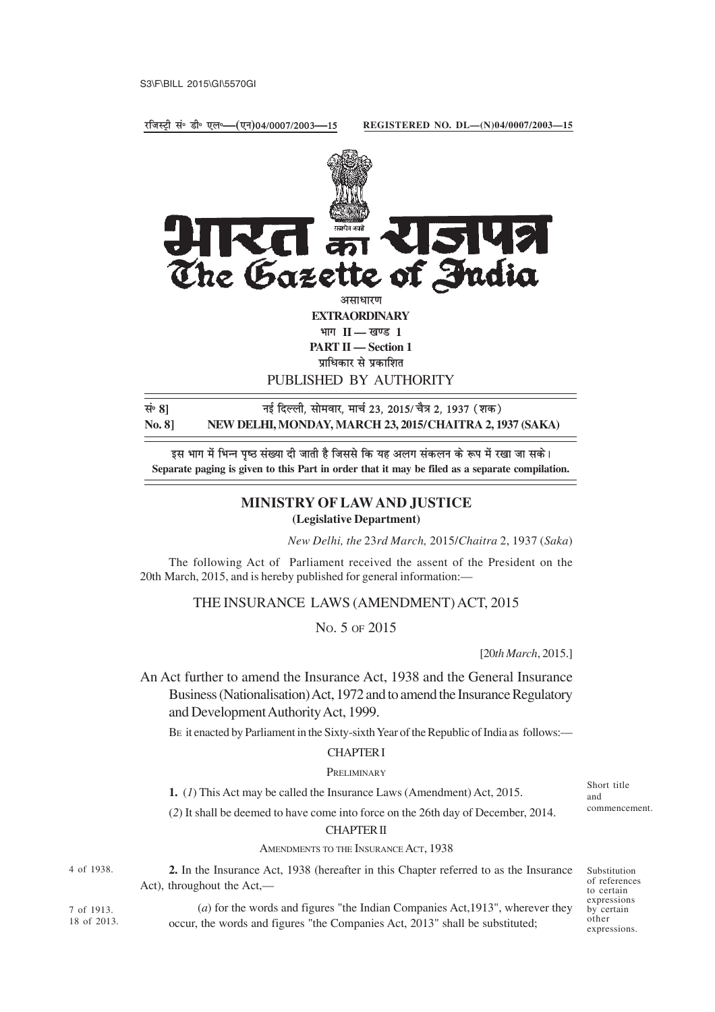jftLVªh lañ Mhñ ,yñ**—(**,u**)**04@0007@2003**—**15

**REGISTERED NO. DL—(N)04/0007/2003—15**



**No. 8] NEW DELHI, MONDAY, MARCH 23, 2015/CHAITRA 2, 1937 (SAKA)**

इस भाग में भिन्न पृष्ठ संख्या दी जाती है जिससे कि यह अलग संकलन के रूप में रखा जा सके। **Separate paging is given to this Part in order that it may be filed as a separate compilation.**

# **MINISTRY OF LAW AND JUSTICE (Legislative Department)**

*New Delhi, the* 23*rd March,* 2015/*Chaitra* 2, 1937 (*Saka*)

The following Act of Parliament received the assent of the President on the 20th March, 2015, and is hereby published for general information:—

THE INSURANCE LAWS (AMENDMENT) ACT, 2015

NO. 5 OF 2015

[20*th March*, 2015.]

An Act further to amend the Insurance Act, 1938 and the General Insurance Business (Nationalisation) Act, 1972 and to amend the Insurance Regulatory and Development Authority Act, 1999.

BE it enacted by Parliament in the Sixty-sixth Year of the Republic of India as follows:—

## CHAPTER I

### PRELIMINARY

**1.** (*1*) This Act may be called the Insurance Laws (Amendment) Act, 2015.

(*2*) It shall be deemed to have come into force on the 26th day of December, 2014.

#### CHAPTER II

AMENDMENTS TO THE INSURANCE ACT, 1938

4 of 1938.

**2.** In the Insurance Act, 1938 (hereafter in this Chapter referred to as the Insurance Act), throughout the Act,—

Substitution of references to certain expressions by certain other expressions.

Short title and

commencement.

7 of 1913. 18 of 2013.

(*a*) for the words and figures "the Indian Companies Act,1913", wherever they occur, the words and figures "the Companies Act, 2013" shall be substituted;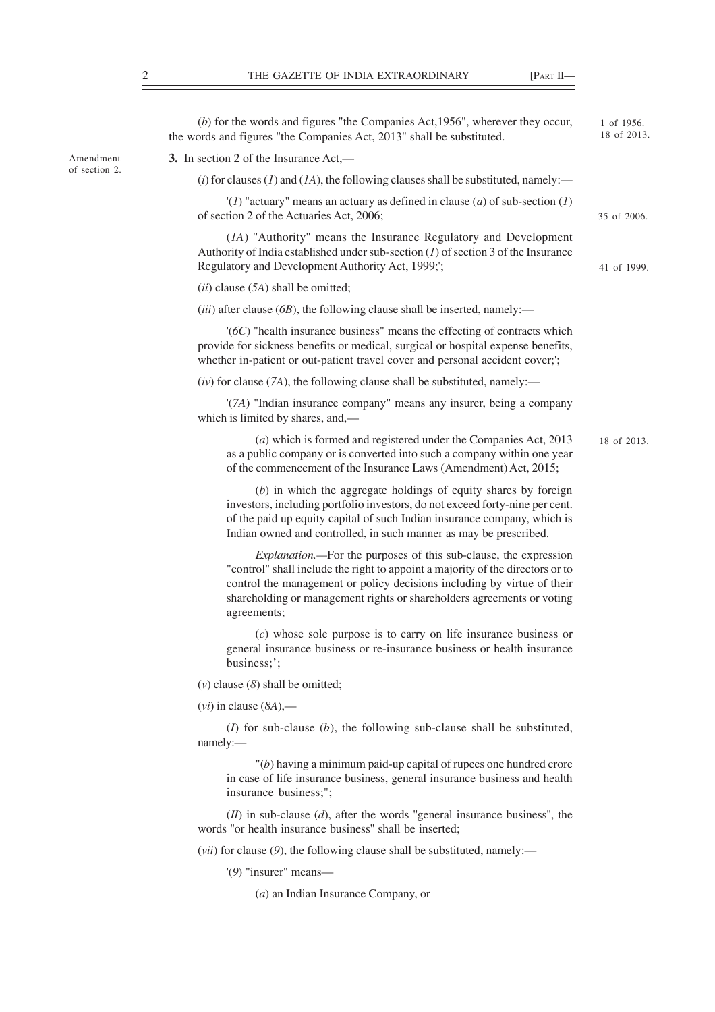|                            | $(b)$ for the words and figures "the Companies Act, 1956", wherever they occur,<br>the words and figures "the Companies Act, 2013" shall be substituted.                                                                                                                                                                       | 1 of 1956.<br>18 of 2013. |
|----------------------------|--------------------------------------------------------------------------------------------------------------------------------------------------------------------------------------------------------------------------------------------------------------------------------------------------------------------------------|---------------------------|
| Amendment<br>of section 2. | 3. In section 2 of the Insurance Act,—                                                                                                                                                                                                                                                                                         |                           |
|                            | (i) for clauses (1) and (1A), the following clauses shall be substituted, namely:—                                                                                                                                                                                                                                             |                           |
|                            | '(1) "actuary" means an actuary as defined in clause (a) of sub-section (1)<br>of section 2 of the Actuaries Act, 2006;                                                                                                                                                                                                        | 35 of 2006.               |
|                            | (IA) "Authority" means the Insurance Regulatory and Development<br>Authority of India established under sub-section $(I)$ of section 3 of the Insurance<br>Regulatory and Development Authority Act, 1999;';                                                                                                                   | 41 of 1999.               |
|                            | $(ii)$ clause $(5A)$ shall be omitted;                                                                                                                                                                                                                                                                                         |                           |
|                            | ( <i>iii</i> ) after clause ( $6B$ ), the following clause shall be inserted, namely:—                                                                                                                                                                                                                                         |                           |
|                            | $'(6C)$ "health insurance business" means the effecting of contracts which<br>provide for sickness benefits or medical, surgical or hospital expense benefits,<br>whether in-patient or out-patient travel cover and personal accident cover;';                                                                                |                           |
|                            | $(iv)$ for clause (7A), the following clause shall be substituted, namely:—                                                                                                                                                                                                                                                    |                           |
|                            | '(7A) "Indian insurance company" means any insurer, being a company<br>which is limited by shares, and,—                                                                                                                                                                                                                       |                           |
|                            | $(a)$ which is formed and registered under the Companies Act, 2013<br>as a public company or is converted into such a company within one year<br>of the commencement of the Insurance Laws (Amendment) Act, 2015;                                                                                                              | 18 of 2013.               |
|                            | $(b)$ in which the aggregate holdings of equity shares by foreign<br>investors, including portfolio investors, do not exceed forty-nine per cent.<br>of the paid up equity capital of such Indian insurance company, which is<br>Indian owned and controlled, in such manner as may be prescribed.                             |                           |
|                            | <i>Explanation</i> .—For the purposes of this sub-clause, the expression<br>"control" shall include the right to appoint a majority of the directors or to<br>control the management or policy decisions including by virtue of their<br>shareholding or management rights or shareholders agreements or voting<br>agreements; |                           |
|                            | $(c)$ whose sole purpose is to carry on life insurance business or<br>general insurance business or re-insurance business or health insurance<br>business;';                                                                                                                                                                   |                           |
|                            | $(v)$ clause $(8)$ shall be omitted;                                                                                                                                                                                                                                                                                           |                           |
|                            | $(vi)$ in clause $(8A)$ ,—                                                                                                                                                                                                                                                                                                     |                           |
|                            | $(I)$ for sub-clause $(b)$ , the following sub-clause shall be substituted,<br>namely:-                                                                                                                                                                                                                                        |                           |

"(*b*) having a minimum paid-up capital of rupees one hundred crore in case of life insurance business, general insurance business and health insurance business;";

(*II*) in sub-clause (*d*), after the words ''general insurance business'', the words ''or health insurance business'' shall be inserted;

(*vii*) for clause (*9*), the following clause shall be substituted, namely:—

'(*9*) "insurer" means—

(*a*) an Indian Insurance Company, or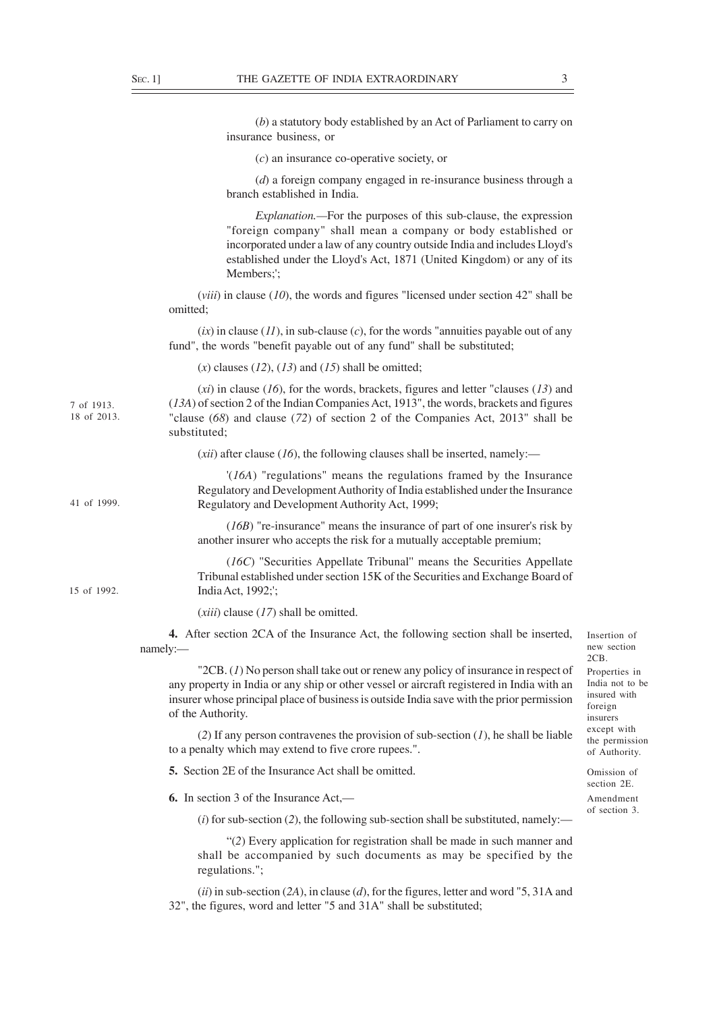|                           | (b) a statutory body established by an Act of Parliament to carry on<br>insurance business, or                                                                                                                                                                                                                  |                                                                         |
|---------------------------|-----------------------------------------------------------------------------------------------------------------------------------------------------------------------------------------------------------------------------------------------------------------------------------------------------------------|-------------------------------------------------------------------------|
|                           | $(c)$ an insurance co-operative society, or                                                                                                                                                                                                                                                                     |                                                                         |
|                           | $(d)$ a foreign company engaged in re-insurance business through a<br>branch established in India.                                                                                                                                                                                                              |                                                                         |
|                           | <i>Explanation</i> .—For the purposes of this sub-clause, the expression<br>"foreign company" shall mean a company or body established or<br>incorporated under a law of any country outside India and includes Lloyd's<br>established under the Lloyd's Act, 1871 (United Kingdom) or any of its<br>Members;'; |                                                                         |
|                           | $(viii)$ in clause (10), the words and figures "licensed under section 42" shall be<br>omitted;                                                                                                                                                                                                                 |                                                                         |
|                           | $(ix)$ in clause ( <i>II</i> ), in sub-clause ( <i>c</i> ), for the words "annuities payable out of any<br>fund", the words "benefit payable out of any fund" shall be substituted;                                                                                                                             |                                                                         |
|                           | $(x)$ clauses $(12)$ , $(13)$ and $(15)$ shall be omitted;                                                                                                                                                                                                                                                      |                                                                         |
| 7 of 1913.<br>18 of 2013. | $(xi)$ in clause (16), for the words, brackets, figures and letter "clauses (13) and<br>(13A) of section 2 of the Indian Companies Act, 1913", the words, brackets and figures<br>"clause (68) and clause (72) of section 2 of the Companies Act, 2013" shall be<br>substituted;                                |                                                                         |
|                           | ( <i>xii</i> ) after clause ( <i>l6</i> ), the following clauses shall be inserted, namely:—                                                                                                                                                                                                                    |                                                                         |
| 41 of 1999.               | $'(16A)$ "regulations" means the regulations framed by the Insurance<br>Regulatory and Development Authority of India established under the Insurance<br>Regulatory and Development Authority Act, 1999;                                                                                                        |                                                                         |
|                           | $(16B)$ "re-insurance" means the insurance of part of one insurer's risk by<br>another insurer who accepts the risk for a mutually acceptable premium;                                                                                                                                                          |                                                                         |
| 15 of 1992.               | (16C) "Securities Appellate Tribunal" means the Securities Appellate<br>Tribunal established under section 15K of the Securities and Exchange Board of<br>India Act, 1992;';                                                                                                                                    |                                                                         |
|                           | $(xiii)$ clause $(17)$ shall be omitted.                                                                                                                                                                                                                                                                        |                                                                         |
|                           | 4. After section 2CA of the Insurance Act, the following section shall be inserted,<br>namely:                                                                                                                                                                                                                  | Insertion of<br>new section<br>2CB.                                     |
|                           | " $2CB$ . (1) No person shall take out or renew any policy of insurance in respect of<br>any property in India or any ship or other vessel or aircraft registered in India with an<br>insurer whose principal place of business is outside India save with the prior permission<br>of the Authority.            | Properties in<br>India not to be<br>insured with<br>foreign<br>insurers |
|                           | (2) If any person contravenes the provision of sub-section $(I)$ , he shall be liable<br>to a penalty which may extend to five crore rupees.".                                                                                                                                                                  | except with<br>the permission<br>of Authority.                          |
|                           | <b>5.</b> Section 2E of the Insurance Act shall be omitted.                                                                                                                                                                                                                                                     | Omission of<br>section 2E.<br>Amendment                                 |
|                           | <b>6.</b> In section 3 of the Insurance Act,—                                                                                                                                                                                                                                                                   |                                                                         |
|                           | $(i)$ for sub-section (2), the following sub-section shall be substituted, namely:—                                                                                                                                                                                                                             | of section 3.                                                           |
|                           | "(2) Every application for registration shall be made in such manner and<br>shall be accompanied by such documents as may be specified by the<br>regulations.";                                                                                                                                                 |                                                                         |
|                           | $(ii)$ in sub-section (2A), in clause (d), for the figures, letter and word "5, 31A and<br>32", the figures, word and letter "5 and 31A" shall be substituted;                                                                                                                                                  |                                                                         |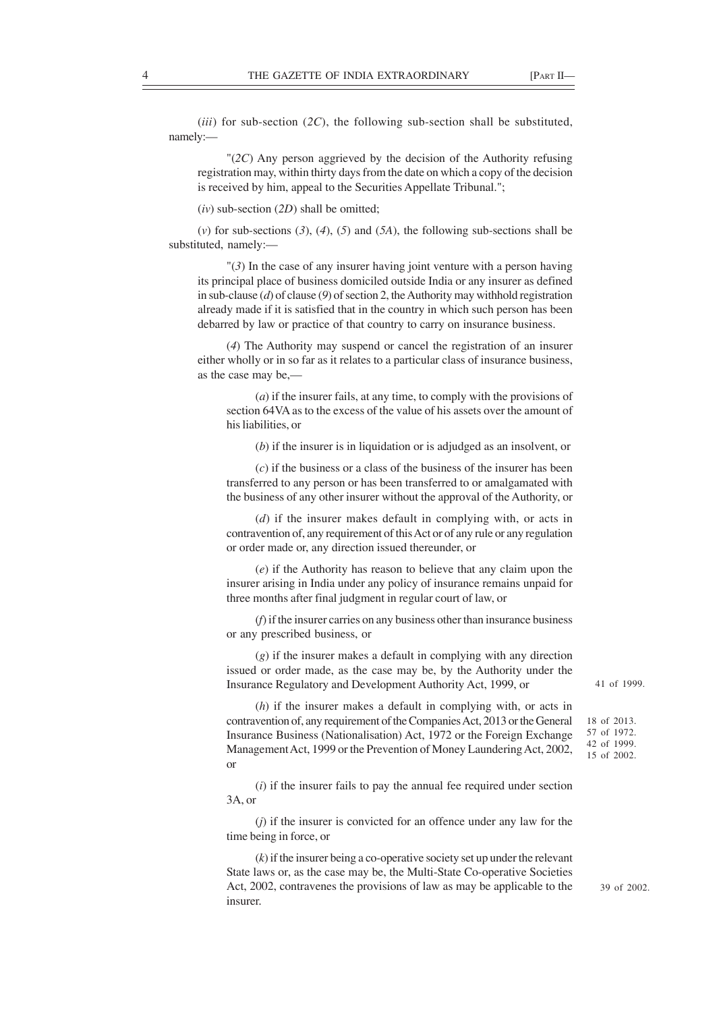(*iii*) for sub-section (*2C*), the following sub-section shall be substituted, namely:—

"(*2C*) Any person aggrieved by the decision of the Authority refusing registration may, within thirty days from the date on which a copy of the decision is received by him, appeal to the Securities Appellate Tribunal.";

(*iv*) sub-section (*2D*) shall be omitted;

(*v*) for sub-sections (*3*), (*4*), (*5*) and (*5A*), the following sub-sections shall be substituted, namely:—

"(*3*) In the case of any insurer having joint venture with a person having its principal place of business domiciled outside India or any insurer as defined in sub-clause (*d*) of clause (*9*) of section 2, the Authority may withhold registration already made if it is satisfied that in the country in which such person has been debarred by law or practice of that country to carry on insurance business.

(*4*) The Authority may suspend or cancel the registration of an insurer either wholly or in so far as it relates to a particular class of insurance business, as the case may be,—

(*a*) if the insurer fails, at any time, to comply with the provisions of section 64VA as to the excess of the value of his assets over the amount of his liabilities, or

(*b*) if the insurer is in liquidation or is adjudged as an insolvent, or

(*c*) if the business or a class of the business of the insurer has been transferred to any person or has been transferred to or amalgamated with the business of any other insurer without the approval of the Authority, or

(*d*) if the insurer makes default in complying with, or acts in contravention of, any requirement of this Act or of any rule or any regulation or order made or, any direction issued thereunder, or

(*e*) if the Authority has reason to believe that any claim upon the insurer arising in India under any policy of insurance remains unpaid for three months after final judgment in regular court of law, or

(*f*) if the insurer carries on any business other than insurance business or any prescribed business, or

(*g*) if the insurer makes a default in complying with any direction issued or order made, as the case may be, by the Authority under the Insurance Regulatory and Development Authority Act, 1999, or

(*h*) if the insurer makes a default in complying with, or acts in contravention of, any requirement of the Companies Act, 2013 or the General Insurance Business (Nationalisation) Act, 1972 or the Foreign Exchange Management Act, 1999 or the Prevention of Money Laundering Act, 2002, or

(*i*) if the insurer fails to pay the annual fee required under section 3A, or

(*j*) if the insurer is convicted for an offence under any law for the time being in force, or

(*k*) if the insurer being a co-operative society set up under the relevant State laws or, as the case may be, the Multi-State Co-operative Societies Act, 2002, contravenes the provisions of law as may be applicable to the insurer.

41 of 1999.

18 of 2013. 57 of 1972. 42 of 1999. 15 of 2002.

39 of 2002.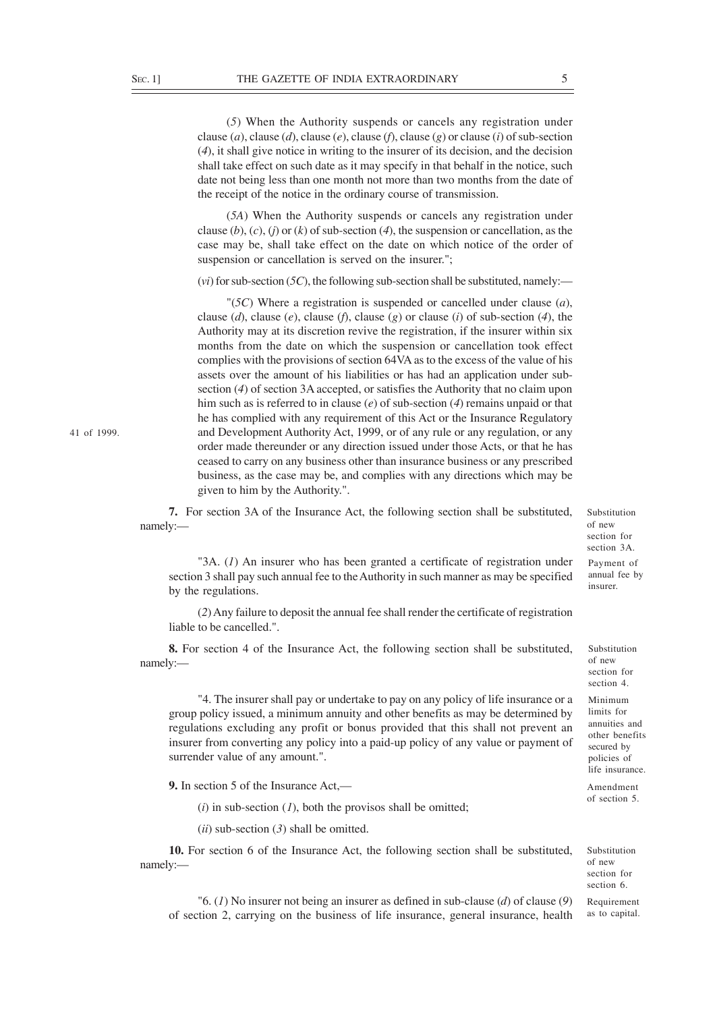(*5*) When the Authority suspends or cancels any registration under clause (*a*), clause (*d*), clause (*e*), clause (*f*), clause (*g*) or clause (*i*) of sub-section (*4*), it shall give notice in writing to the insurer of its decision, and the decision shall take effect on such date as it may specify in that behalf in the notice, such date not being less than one month not more than two months from the date of the receipt of the notice in the ordinary course of transmission.

(*5A*) When the Authority suspends or cancels any registration under clause (*b*), (*c*), (*j*) or (*k*) of sub-section (*4*), the suspension or cancellation, as the case may be, shall take effect on the date on which notice of the order of suspension or cancellation is served on the insurer.";

(*vi*) for sub-section (*5C*), the following sub-section shall be substituted, namely:—

"(*5C*) Where a registration is suspended or cancelled under clause (*a*), clause (*d*), clause (*e*), clause (*f*), clause (*g*) or clause (*i*) of sub-section (*4*), the Authority may at its discretion revive the registration, if the insurer within six months from the date on which the suspension or cancellation took effect complies with the provisions of section 64VA as to the excess of the value of his assets over the amount of his liabilities or has had an application under subsection (*4*) of section 3A accepted, or satisfies the Authority that no claim upon him such as is referred to in clause (*e*) of sub-section (*4*) remains unpaid or that he has complied with any requirement of this Act or the Insurance Regulatory and Development Authority Act, 1999, or of any rule or any regulation, or any order made thereunder or any direction issued under those Acts, or that he has ceased to carry on any business other than insurance business or any prescribed business, as the case may be, and complies with any directions which may be given to him by the Authority.".

**7.** For section 3A of the Insurance Act, the following section shall be substituted, namely:—

Substitution of new section for section 3A. Payment of annual fee by

Substitution of new section for section 4. Minimum limits for annuities and other benefits secured by policies of life insurance. Amendment of section 5.

insurer.

"3A. (*1*) An insurer who has been granted a certificate of registration under section 3 shall pay such annual fee to the Authority in such manner as may be specified by the regulations.

(*2*) Any failure to deposit the annual fee shall render the certificate of registration liable to be cancelled.".

**8.** For section 4 of the Insurance Act, the following section shall be substituted, namely:—

"4. The insurer shall pay or undertake to pay on any policy of life insurance or a group policy issued, a minimum annuity and other benefits as may be determined by regulations excluding any profit or bonus provided that this shall not prevent an insurer from converting any policy into a paid-up policy of any value or payment of surrender value of any amount.".

**9.** In section 5 of the Insurance Act,—

 $(i)$  in sub-section  $(I)$ , both the provisos shall be omitted;

(*ii*) sub-section (*3*) shall be omitted.

**10.** For section 6 of the Insurance Act, the following section shall be substituted, namely:—

Substitution of new section for section 6. Requirement

as to capital.

"6. (*1*) No insurer not being an insurer as defined in sub-clause (*d*) of clause (*9*) of section 2, carrying on the business of life insurance, general insurance, health

41 of 1999.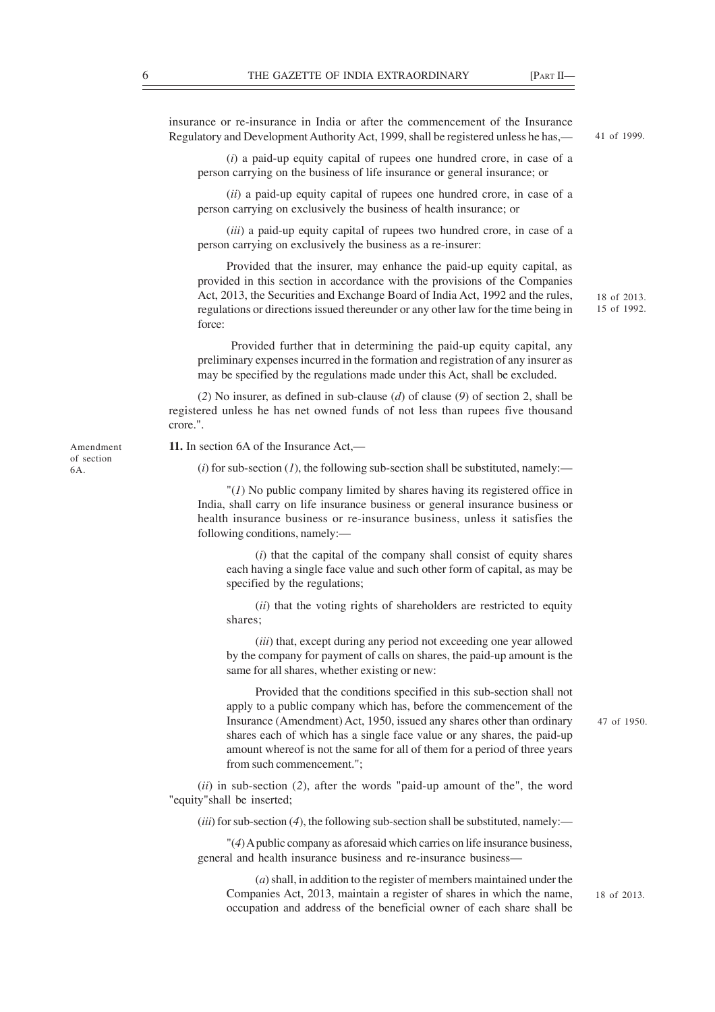insurance or re-insurance in India or after the commencement of the Insurance Regulatory and Development Authority Act, 1999, shall be registered unless he has,— (*i*) a paid-up equity capital of rupees one hundred crore, in case of a person carrying on the business of life insurance or general insurance; or (*ii*) a paid-up equity capital of rupees one hundred crore, in case of a person carrying on exclusively the business of health insurance; or (*iii*) a paid-up equity capital of rupees two hundred crore, in case of a person carrying on exclusively the business as a re-insurer: Provided that the insurer, may enhance the paid-up equity capital, as 41 of 1999.

provided in this section in accordance with the provisions of the Companies Act, 2013, the Securities and Exchange Board of India Act, 1992 and the rules, regulations or directions issued thereunder or any other law for the time being in force:

 Provided further that in determining the paid-up equity capital, any preliminary expenses incurred in the formation and registration of any insurer as may be specified by the regulations made under this Act, shall be excluded.

(*2*) No insurer, as defined in sub-clause (*d*) of clause (*9*) of section 2, shall be registered unless he has net owned funds of not less than rupees five thousand crore.".

**11.** In section 6A of the Insurance Act,—

 $(i)$  for sub-section  $(i)$ , the following sub-section shall be substituted, namely:—

"(*1*) No public company limited by shares having its registered office in India, shall carry on life insurance business or general insurance business or health insurance business or re-insurance business, unless it satisfies the following conditions, namely:—

(*i*) that the capital of the company shall consist of equity shares each having a single face value and such other form of capital, as may be specified by the regulations;

(*ii*) that the voting rights of shareholders are restricted to equity shares;

(*iii*) that, except during any period not exceeding one year allowed by the company for payment of calls on shares, the paid-up amount is the same for all shares, whether existing or new:

Provided that the conditions specified in this sub-section shall not apply to a public company which has, before the commencement of the Insurance (Amendment) Act, 1950, issued any shares other than ordinary shares each of which has a single face value or any shares, the paid-up amount whereof is not the same for all of them for a period of three years from such commencement.";

(*ii*) in sub-section (*2*), after the words "paid-up amount of the", the word "equity"shall be inserted;

(*iii*) for sub-section (*4*), the following sub-section shall be substituted, namely:—

"(*4*) A public company as aforesaid which carries on life insurance business, general and health insurance business and re-insurance business—

(*a*) shall, in addition to the register of members maintained under the Companies Act, 2013, maintain a register of shares in which the name, occupation and address of the beneficial owner of each share shall be

of section 6A.

Amendment

18 of 2013.

15 of 1992.

47 of 1950.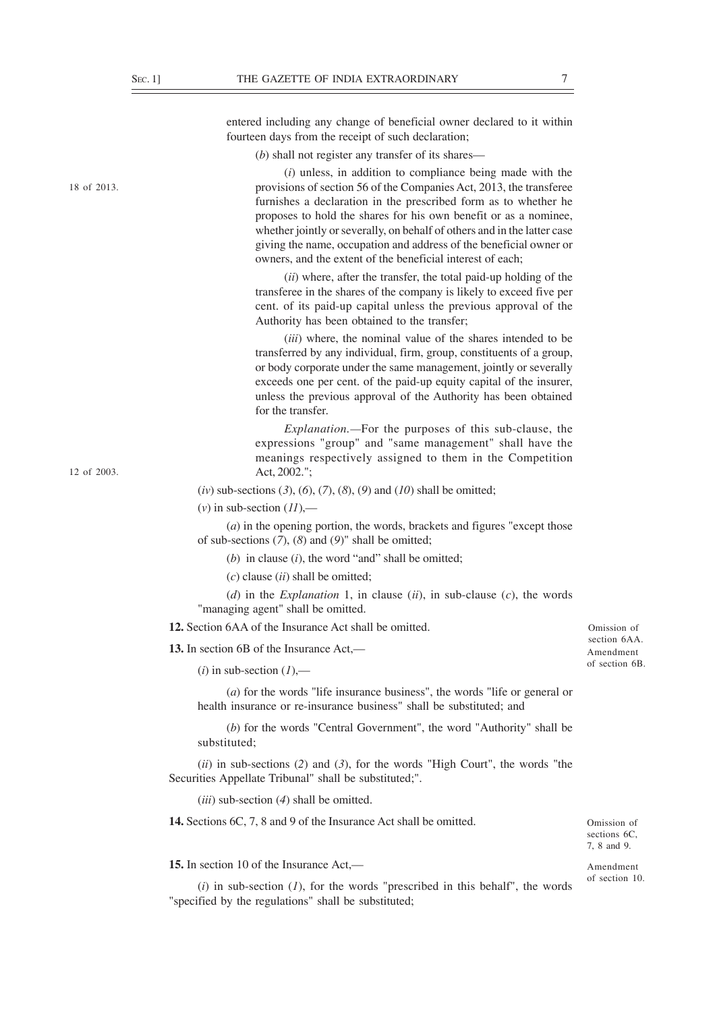12 of 2003.

18 of 2013.

entered including any change of beneficial owner declared to it within fourteen days from the receipt of such declaration;

(*b*) shall not register any transfer of its shares—

(*i*) unless, in addition to compliance being made with the provisions of section 56 of the Companies Act, 2013, the transferee furnishes a declaration in the prescribed form as to whether he proposes to hold the shares for his own benefit or as a nominee, whether jointly or severally, on behalf of others and in the latter case giving the name, occupation and address of the beneficial owner or owners, and the extent of the beneficial interest of each;

(*ii*) where, after the transfer, the total paid-up holding of the transferee in the shares of the company is likely to exceed five per cent. of its paid-up capital unless the previous approval of the Authority has been obtained to the transfer;

(*iii*) where, the nominal value of the shares intended to be transferred by any individual, firm, group, constituents of a group, or body corporate under the same management, jointly or severally exceeds one per cent. of the paid-up equity capital of the insurer, unless the previous approval of the Authority has been obtained for the transfer.

*Explanation.—*For the purposes of this sub-clause, the expressions "group" and "same management" shall have the meanings respectively assigned to them in the Competition Act, 2002.";

(*iv*) sub-sections (*3*), (*6*), (*7*), (*8*), (*9*) and (*10*) shall be omitted;

 $(v)$  in sub-section  $(11)$ ,—

(*a*) in the opening portion, the words, brackets and figures "except those of sub-sections (*7*), (*8*) and (*9*)" shall be omitted;

(*b*) in clause (*i*), the word "and" shall be omitted;

(*c*) clause (*ii*) shall be omitted;

(*d*) in the *Explanation* 1, in clause (*ii*), in sub-clause (*c*), the words "managing agent" shall be omitted.

**12.** Section 6AA of the Insurance Act shall be omitted.

**13.** In section 6B of the Insurance Act,—

 $(i)$  in sub-section  $(l)$ ,—

(*a*) for the words "life insurance business", the words "life or general or health insurance or re-insurance business" shall be substituted; and

(*b*) for the words "Central Government", the word "Authority" shall be substituted;

(*ii*) in sub-sections (*2*) and (*3*), for the words "High Court", the words "the Securities Appellate Tribunal" shall be substituted;".

(*iii*) sub-section (*4*) shall be omitted.

**14.** Sections 6C, 7, 8 and 9 of the Insurance Act shall be omitted.

**15.** In section 10 of the Insurance Act,—

 $(i)$  in sub-section  $(I)$ , for the words "prescribed in this behalf", the words "specified by the regulations" shall be substituted;

Omission of section 6AA Amendment of section 6B.

Omission of sections 6C, 7, 8 and 9.

Amendment of section 10.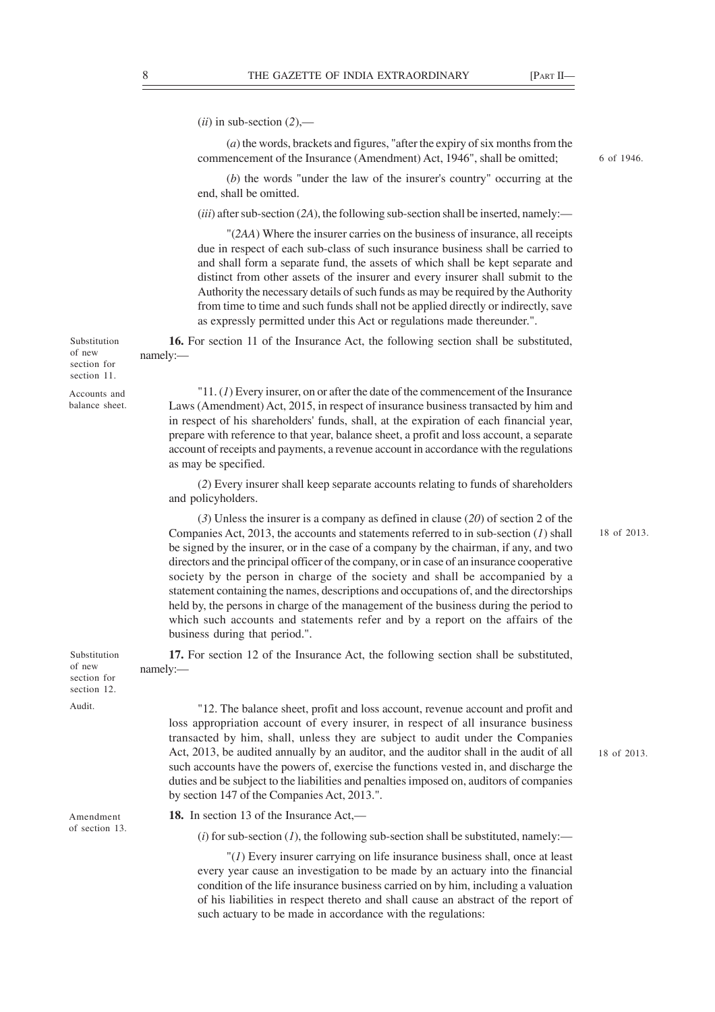$(ii)$  in sub-section  $(2)$ ,—

(*a*) the words, brackets and figures, "after the expiry of six months from the commencement of the Insurance (Amendment) Act, 1946", shall be omitted;

(*b*) the words "under the law of the insurer's country" occurring at the end, shall be omitted.

(*iii*) after sub-section (*2A*), the following sub-section shall be inserted, namely:—

"(*2AA*) Where the insurer carries on the business of insurance, all receipts due in respect of each sub-class of such insurance business shall be carried to and shall form a separate fund, the assets of which shall be kept separate and distinct from other assets of the insurer and every insurer shall submit to the Authority the necessary details of such funds as may be required by the Authority from time to time and such funds shall not be applied directly or indirectly, save as expressly permitted under this Act or regulations made thereunder.".

**16.** For section 11 of the Insurance Act, the following section shall be substituted, namely:—

"11. (*1*) Every insurer, on or after the date of the commencement of the Insurance Laws (Amendment) Act, 2015, in respect of insurance business transacted by him and in respect of his shareholders' funds, shall, at the expiration of each financial year, prepare with reference to that year, balance sheet, a profit and loss account, a separate account of receipts and payments, a revenue account in accordance with the regulations as may be specified.

(*2*) Every insurer shall keep separate accounts relating to funds of shareholders and policyholders.

(*3*) Unless the insurer is a company as defined in clause (*20*) of section 2 of the Companies Act, 2013, the accounts and statements referred to in sub-section (*1*) shall be signed by the insurer, or in the case of a company by the chairman, if any, and two directors and the principal officer of the company, or in case of an insurance cooperative society by the person in charge of the society and shall be accompanied by a statement containing the names, descriptions and occupations of, and the directorships held by, the persons in charge of the management of the business during the period to which such accounts and statements refer and by a report on the affairs of the business during that period.".

**17.** For section 12 of the Insurance Act, the following section shall be substituted, namely:—

"12. The balance sheet, profit and loss account, revenue account and profit and loss appropriation account of every insurer, in respect of all insurance business transacted by him, shall, unless they are subject to audit under the Companies Act, 2013, be audited annually by an auditor, and the auditor shall in the audit of all such accounts have the powers of, exercise the functions vested in, and discharge the duties and be subject to the liabilities and penalties imposed on, auditors of companies by section 147 of the Companies Act, 2013.".

18 of 2013.

Amendment of section 13.

Substitution of new section for section 12. Audit.

Substitution of new section for section 11. Accounts and balance sheet.

**18.** In section 13 of the Insurance Act,—

 $(i)$  for sub-section  $(I)$ , the following sub-section shall be substituted, namely:—

"(*1*) Every insurer carrying on life insurance business shall, once at least every year cause an investigation to be made by an actuary into the financial condition of the life insurance business carried on by him, including a valuation of his liabilities in respect thereto and shall cause an abstract of the report of such actuary to be made in accordance with the regulations:

6 of 1946.

18 of 2013.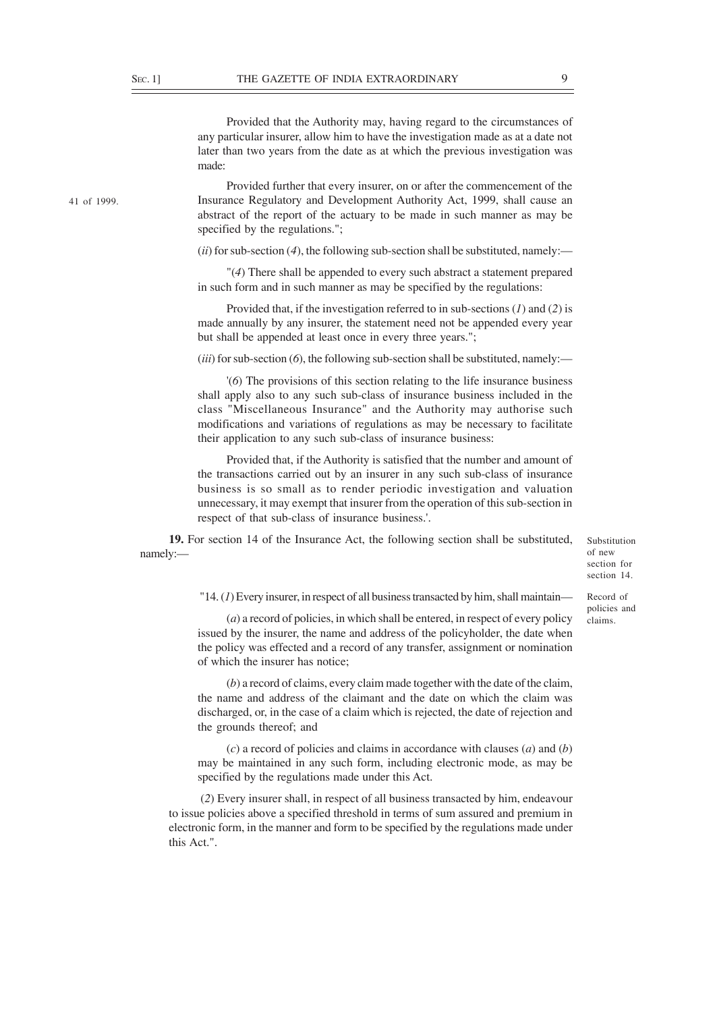Provided that the Authority may, having regard to the circumstances of any particular insurer, allow him to have the investigation made as at a date not later than two years from the date as at which the previous investigation was made:

Provided further that every insurer, on or after the commencement of the Insurance Regulatory and Development Authority Act, 1999, shall cause an abstract of the report of the actuary to be made in such manner as may be specified by the regulations.";

 $(i)$  for sub-section  $(4)$ , the following sub-section shall be substituted, namely:—

"(*4*) There shall be appended to every such abstract a statement prepared in such form and in such manner as may be specified by the regulations:

Provided that, if the investigation referred to in sub-sections (*1*) and (*2*) is made annually by any insurer, the statement need not be appended every year but shall be appended at least once in every three years.";

(*iii*) for sub-section (*6*), the following sub-section shall be substituted, namely:—

'(*6*) The provisions of this section relating to the life insurance business shall apply also to any such sub-class of insurance business included in the class "Miscellaneous Insurance" and the Authority may authorise such modifications and variations of regulations as may be necessary to facilitate their application to any such sub-class of insurance business:

Provided that, if the Authority is satisfied that the number and amount of the transactions carried out by an insurer in any such sub-class of insurance business is so small as to render periodic investigation and valuation unnecessary, it may exempt that insurer from the operation of this sub-section in respect of that sub-class of insurance business.'.

**19.** For section 14 of the Insurance Act, the following section shall be substituted, namely:—

Substitution of new section for section 14.

"14. (*1*) Every insurer, in respect of all business transacted by him, shall maintain—

(*a*) a record of policies, in which shall be entered, in respect of every policy issued by the insurer, the name and address of the policyholder, the date when the policy was effected and a record of any transfer, assignment or nomination of which the insurer has notice;

(*b*) a record of claims, every claim made together with the date of the claim, the name and address of the claimant and the date on which the claim was discharged, or, in the case of a claim which is rejected, the date of rejection and the grounds thereof; and

(*c*) a record of policies and claims in accordance with clauses (*a*) and (*b*) may be maintained in any such form, including electronic mode, as may be specified by the regulations made under this Act.

 (*2*) Every insurer shall, in respect of all business transacted by him, endeavour to issue policies above a specified threshold in terms of sum assured and premium in electronic form, in the manner and form to be specified by the regulations made under this Act.".

41 of 1999.

Record of policies and claims.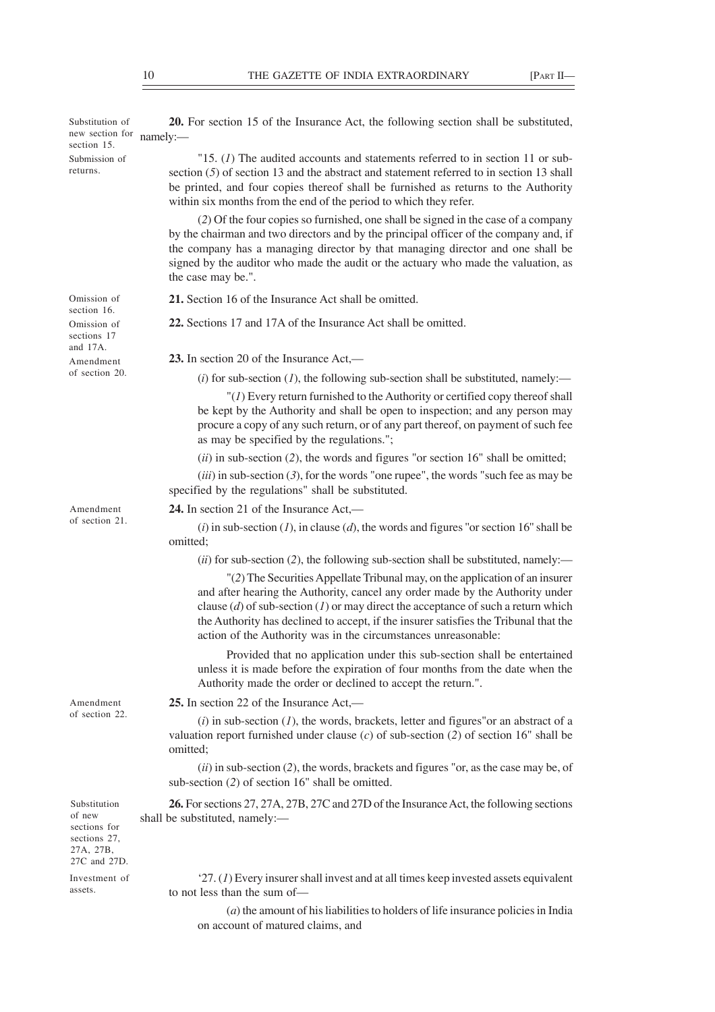**Contract Contract Contract** 

| Substitution of<br>new section for<br>section 15.                                   | <b>20.</b> For section 15 of the Insurance Act, the following section shall be substituted,<br>namely:                                                                                                                                                                                                                                                                                                           |
|-------------------------------------------------------------------------------------|------------------------------------------------------------------------------------------------------------------------------------------------------------------------------------------------------------------------------------------------------------------------------------------------------------------------------------------------------------------------------------------------------------------|
| Submission of<br>returns.                                                           | "15. $(I)$ The audited accounts and statements referred to in section 11 or sub-<br>section $(5)$ of section 13 and the abstract and statement referred to in section 13 shall<br>be printed, and four copies thereof shall be furnished as returns to the Authority<br>within six months from the end of the period to which they refer.                                                                        |
|                                                                                     | (2) Of the four copies so furnished, one shall be signed in the case of a company<br>by the chairman and two directors and by the principal officer of the company and, if<br>the company has a managing director by that managing director and one shall be<br>signed by the auditor who made the audit or the actuary who made the valuation, as<br>the case may be.".                                         |
| Omission of                                                                         | 21. Section 16 of the Insurance Act shall be omitted.                                                                                                                                                                                                                                                                                                                                                            |
| section 16.<br>Omission of<br>sections 17<br>and $17A$ .                            | 22. Sections 17 and 17A of the Insurance Act shall be omitted.                                                                                                                                                                                                                                                                                                                                                   |
| Amendment                                                                           | 23. In section 20 of the Insurance Act,—                                                                                                                                                                                                                                                                                                                                                                         |
| of section 20.                                                                      | (i) for sub-section $(I)$ , the following sub-section shall be substituted, namely:—                                                                                                                                                                                                                                                                                                                             |
|                                                                                     | $''(I)$ Every return furnished to the Authority or certified copy thereof shall<br>be kept by the Authority and shall be open to inspection; and any person may<br>procure a copy of any such return, or of any part thereof, on payment of such fee<br>as may be specified by the regulations.";                                                                                                                |
|                                                                                     | $(ii)$ in sub-section (2), the words and figures "or section 16" shall be omitted;                                                                                                                                                                                                                                                                                                                               |
|                                                                                     | $(iii)$ in sub-section (3), for the words "one rupee", the words "such fee as may be<br>specified by the regulations" shall be substituted.                                                                                                                                                                                                                                                                      |
| Amendment                                                                           | 24. In section 21 of the Insurance Act,—                                                                                                                                                                                                                                                                                                                                                                         |
| of section 21.                                                                      | (i) in sub-section (1), in clause (d), the words and figures "or section 16" shall be<br>omitted;                                                                                                                                                                                                                                                                                                                |
|                                                                                     | $(ii)$ for sub-section (2), the following sub-section shall be substituted, namely:—                                                                                                                                                                                                                                                                                                                             |
|                                                                                     | "(2) The Securities Appellate Tribunal may, on the application of an insurer<br>and after hearing the Authority, cancel any order made by the Authority under<br>clause $(d)$ of sub-section $(l)$ or may direct the acceptance of such a return which<br>the Authority has declined to accept, if the insurer satisfies the Tribunal that the<br>action of the Authority was in the circumstances unreasonable: |
|                                                                                     | Provided that no application under this sub-section shall be entertained<br>unless it is made before the expiration of four months from the date when the<br>Authority made the order or declined to accept the return.".                                                                                                                                                                                        |
| Amendment                                                                           | 25. In section 22 of the Insurance Act,—                                                                                                                                                                                                                                                                                                                                                                         |
| of section 22.                                                                      | $(i)$ in sub-section $(I)$ , the words, brackets, letter and figures" or an abstract of a<br>valuation report furnished under clause $(c)$ of sub-section $(2)$ of section 16" shall be<br>omitted;                                                                                                                                                                                                              |
|                                                                                     | $(ii)$ in sub-section (2), the words, brackets and figures "or, as the case may be, of<br>sub-section (2) of section 16" shall be omitted.                                                                                                                                                                                                                                                                       |
| Substitution<br>of new<br>sections for<br>sections 27,<br>27A, 27B,<br>27C and 27D. | 26. For sections 27, 27A, 27B, 27C and 27D of the Insurance Act, the following sections<br>shall be substituted, namely:-                                                                                                                                                                                                                                                                                        |
| Investment of<br>assets.                                                            | $27. (1)$ Every insurer shall invest and at all times keep invested assets equivalent<br>to not less than the sum of-                                                                                                                                                                                                                                                                                            |
|                                                                                     | $(a)$ the amount of his liabilities to holders of life insurance policies in India                                                                                                                                                                                                                                                                                                                               |

on account of matured claims, and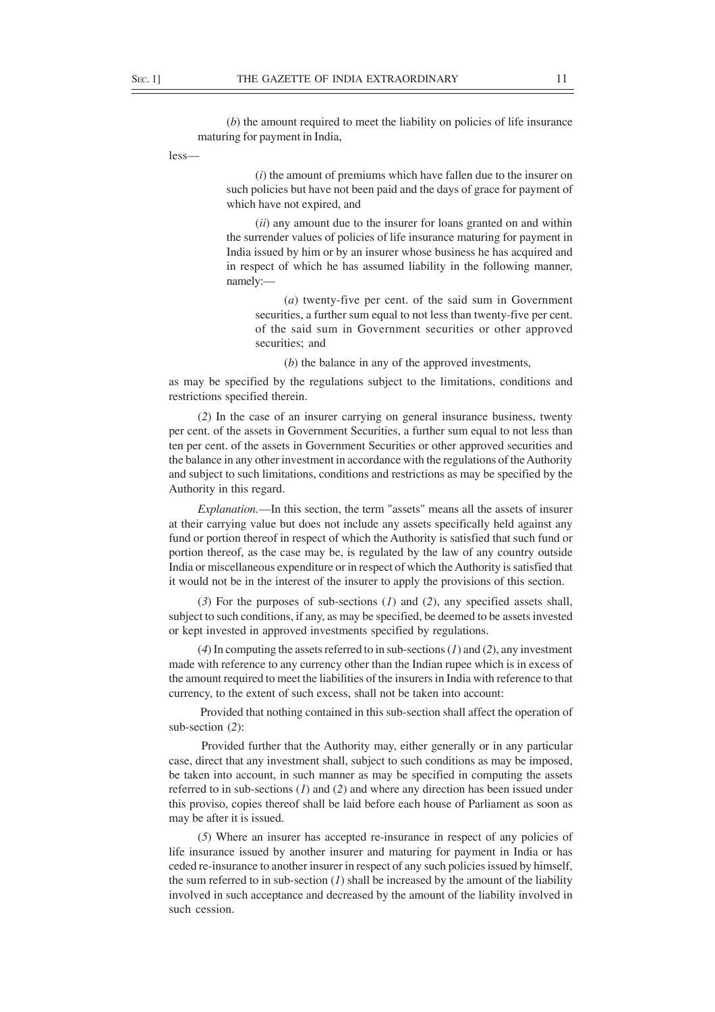(*b*) the amount required to meet the liability on policies of life insurance maturing for payment in India,

less—

(*i*) the amount of premiums which have fallen due to the insurer on such policies but have not been paid and the days of grace for payment of which have not expired, and

(*ii*) any amount due to the insurer for loans granted on and within the surrender values of policies of life insurance maturing for payment in India issued by him or by an insurer whose business he has acquired and in respect of which he has assumed liability in the following manner, namely:—

(*a*) twenty-five per cent. of the said sum in Government securities, a further sum equal to not less than twenty-five per cent. of the said sum in Government securities or other approved securities; and

(*b*) the balance in any of the approved investments,

as may be specified by the regulations subject to the limitations, conditions and restrictions specified therein.

(*2*) In the case of an insurer carrying on general insurance business, twenty per cent. of the assets in Government Securities, a further sum equal to not less than ten per cent. of the assets in Government Securities or other approved securities and the balance in any other investment in accordance with the regulations of the Authority and subject to such limitations, conditions and restrictions as may be specified by the Authority in this regard.

*Explanation.*—In this section, the term "assets" means all the assets of insurer at their carrying value but does not include any assets specifically held against any fund or portion thereof in respect of which the Authority is satisfied that such fund or portion thereof, as the case may be, is regulated by the law of any country outside India or miscellaneous expenditure or in respect of which the Authority is satisfied that it would not be in the interest of the insurer to apply the provisions of this section.

(*3*) For the purposes of sub-sections (*1*) and (*2*), any specified assets shall, subject to such conditions, if any, as may be specified, be deemed to be assets invested or kept invested in approved investments specified by regulations.

(*4*) In computing the assets referred to in sub-sections (*1*) and (*2*), any investment made with reference to any currency other than the Indian rupee which is in excess of the amount required to meet the liabilities of the insurers in India with reference to that currency, to the extent of such excess, shall not be taken into account:

 Provided that nothing contained in this sub-section shall affect the operation of sub-section (*2*):

 Provided further that the Authority may, either generally or in any particular case, direct that any investment shall, subject to such conditions as may be imposed, be taken into account, in such manner as may be specified in computing the assets referred to in sub-sections (*1*) and (*2*) and where any direction has been issued under this proviso, copies thereof shall be laid before each house of Parliament as soon as may be after it is issued.

(*5*) Where an insurer has accepted re-insurance in respect of any policies of life insurance issued by another insurer and maturing for payment in India or has ceded re-insurance to another insurer in respect of any such policies issued by himself, the sum referred to in sub-section  $(I)$  shall be increased by the amount of the liability involved in such acceptance and decreased by the amount of the liability involved in such cession.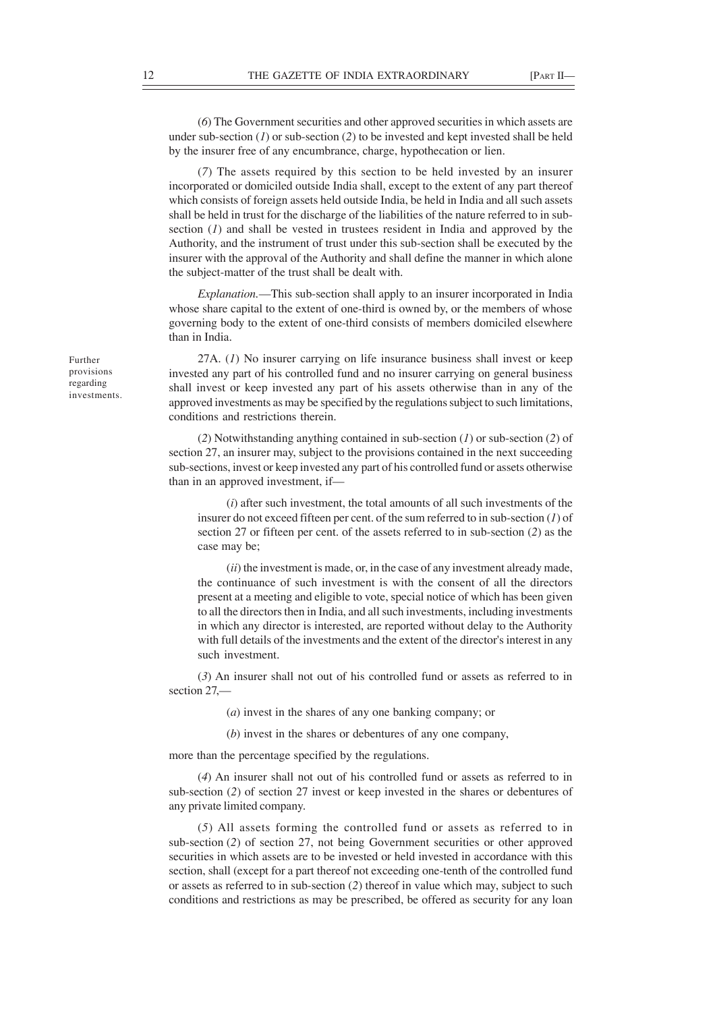(*6*) The Government securities and other approved securities in which assets are under sub-section (*1*) or sub-section (*2*) to be invested and kept invested shall be held by the insurer free of any encumbrance, charge, hypothecation or lien.

(*7*) The assets required by this section to be held invested by an insurer incorporated or domiciled outside India shall, except to the extent of any part thereof which consists of foreign assets held outside India, be held in India and all such assets shall be held in trust for the discharge of the liabilities of the nature referred to in subsection (*1*) and shall be vested in trustees resident in India and approved by the Authority, and the instrument of trust under this sub-section shall be executed by the insurer with the approval of the Authority and shall define the manner in which alone the subject-matter of the trust shall be dealt with.

*Explanation.*—This sub-section shall apply to an insurer incorporated in India whose share capital to the extent of one-third is owned by, or the members of whose governing body to the extent of one-third consists of members domiciled elsewhere than in India.

27A. (*1*) No insurer carrying on life insurance business shall invest or keep invested any part of his controlled fund and no insurer carrying on general business shall invest or keep invested any part of his assets otherwise than in any of the approved investments as may be specified by the regulations subject to such limitations, conditions and restrictions therein.

(*2*) Notwithstanding anything contained in sub-section (*1*) or sub-section (*2*) of section 27, an insurer may, subject to the provisions contained in the next succeeding sub-sections, invest or keep invested any part of his controlled fund or assets otherwise than in an approved investment, if—

(*i*) after such investment, the total amounts of all such investments of the insurer do not exceed fifteen per cent. of the sum referred to in sub-section (*1*) of section 27 or fifteen per cent. of the assets referred to in sub-section (*2*) as the case may be;

(*ii*) the investment is made, or, in the case of any investment already made, the continuance of such investment is with the consent of all the directors present at a meeting and eligible to vote, special notice of which has been given to all the directors then in India, and all such investments, including investments in which any director is interested, are reported without delay to the Authority with full details of the investments and the extent of the director's interest in any such investment.

(*3*) An insurer shall not out of his controlled fund or assets as referred to in section 27,—

(*a*) invest in the shares of any one banking company; or

(*b*) invest in the shares or debentures of any one company,

more than the percentage specified by the regulations.

(*4*) An insurer shall not out of his controlled fund or assets as referred to in sub-section (*2*) of section 27 invest or keep invested in the shares or debentures of any private limited company.

(*5*) All assets forming the controlled fund or assets as referred to in sub-section (*2*) of section 27, not being Government securities or other approved securities in which assets are to be invested or held invested in accordance with this section, shall (except for a part thereof not exceeding one-tenth of the controlled fund or assets as referred to in sub-section (*2*) thereof in value which may, subject to such conditions and restrictions as may be prescribed, be offered as security for any loan

Further provisions regarding investments.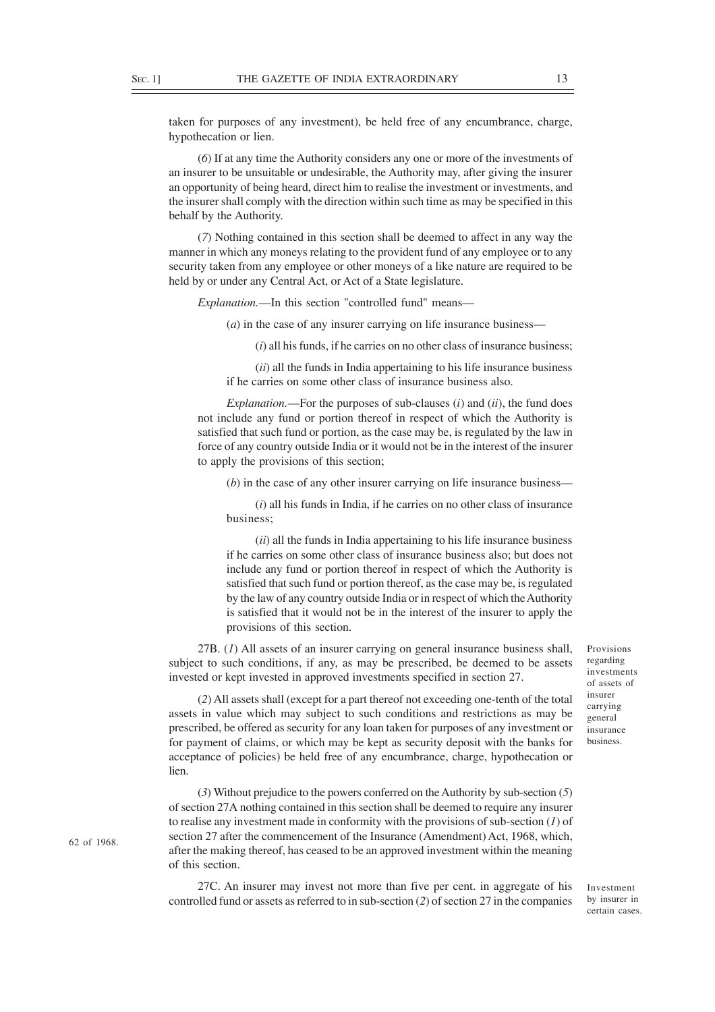taken for purposes of any investment), be held free of any encumbrance, charge, hypothecation or lien.

(*6*) If at any time the Authority considers any one or more of the investments of an insurer to be unsuitable or undesirable, the Authority may, after giving the insurer an opportunity of being heard, direct him to realise the investment or investments, and the insurer shall comply with the direction within such time as may be specified in this behalf by the Authority.

(*7*) Nothing contained in this section shall be deemed to affect in any way the manner in which any moneys relating to the provident fund of any employee or to any security taken from any employee or other moneys of a like nature are required to be held by or under any Central Act, or Act of a State legislature.

*Explanation.*—In this section "controlled fund" means—

(*a*) in the case of any insurer carrying on life insurance business—

(*i*) all his funds, if he carries on no other class of insurance business;

(*ii*) all the funds in India appertaining to his life insurance business if he carries on some other class of insurance business also.

*Explanation.*—For the purposes of sub-clauses (*i*) and (*ii*), the fund does not include any fund or portion thereof in respect of which the Authority is satisfied that such fund or portion, as the case may be, is regulated by the law in force of any country outside India or it would not be in the interest of the insurer to apply the provisions of this section;

(*b*) in the case of any other insurer carrying on life insurance business—

(*i*) all his funds in India, if he carries on no other class of insurance business;

(*ii*) all the funds in India appertaining to his life insurance business if he carries on some other class of insurance business also; but does not include any fund or portion thereof in respect of which the Authority is satisfied that such fund or portion thereof, as the case may be, is regulated by the law of any country outside India or in respect of which the Authority is satisfied that it would not be in the interest of the insurer to apply the provisions of this section.

27B. (*1*) All assets of an insurer carrying on general insurance business shall, subject to such conditions, if any, as may be prescribed, be deemed to be assets invested or kept invested in approved investments specified in section 27.

(*2*) All assets shall (except for a part thereof not exceeding one-tenth of the total assets in value which may subject to such conditions and restrictions as may be prescribed, be offered as security for any loan taken for purposes of any investment or for payment of claims, or which may be kept as security deposit with the banks for acceptance of policies) be held free of any encumbrance, charge, hypothecation or lien.

(*3*) Without prejudice to the powers conferred on the Authority by sub-section (*5*) of section 27A nothing contained in this section shall be deemed to require any insurer to realise any investment made in conformity with the provisions of sub-section (*1*) of section 27 after the commencement of the Insurance (Amendment) Act, 1968, which, after the making thereof, has ceased to be an approved investment within the meaning of this section.

27C. An insurer may invest not more than five per cent. in aggregate of his controlled fund or assets as referred to in sub-section (*2*) of section 27 in the companies Provisions regarding investments of assets of insurer carrying general insurance business.

Investment by insurer in certain cases.

62 of 1968.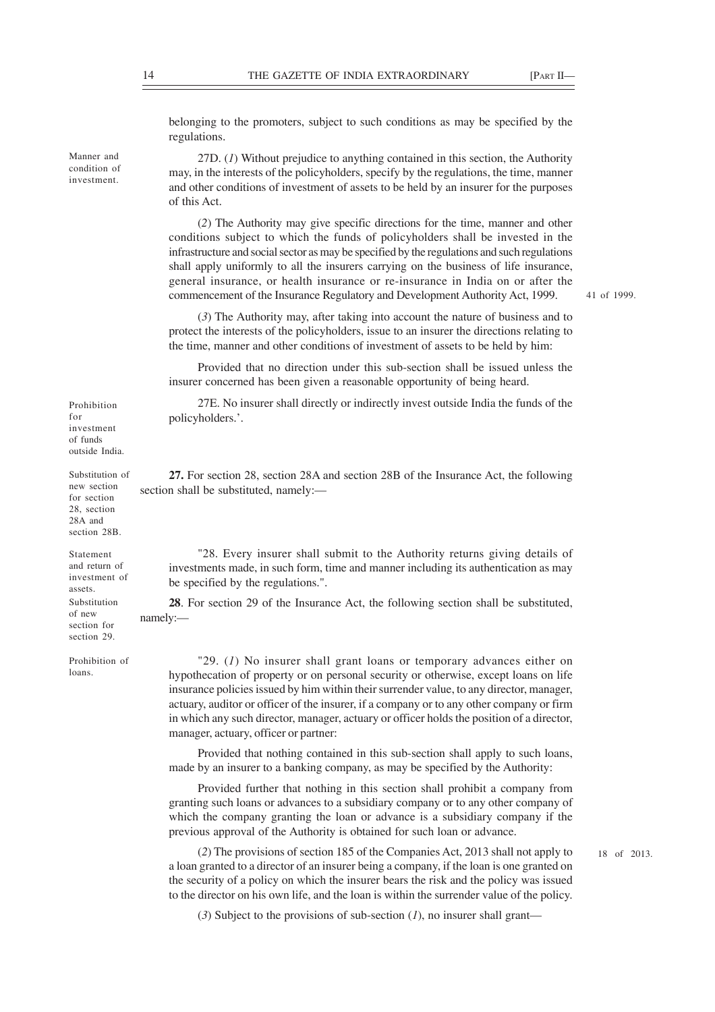belonging to the promoters, subject to such conditions as may be specified by the regulations.

27D. (*1*) Without prejudice to anything contained in this section, the Authority may, in the interests of the policyholders, specify by the regulations, the time, manner and other conditions of investment of assets to be held by an insurer for the purposes of this Act.

(*2*) The Authority may give specific directions for the time, manner and other conditions subject to which the funds of policyholders shall be invested in the infrastructure and social sector as may be specified by the regulations and such regulations shall apply uniformly to all the insurers carrying on the business of life insurance, general insurance, or health insurance or re-insurance in India on or after the commencement of the Insurance Regulatory and Development Authority Act, 1999.

41 of 1999.

(*3*) The Authority may, after taking into account the nature of business and to protect the interests of the policyholders, issue to an insurer the directions relating to the time, manner and other conditions of investment of assets to be held by him:

Provided that no direction under this sub-section shall be issued unless the insurer concerned has been given a reasonable opportunity of being heard.

27E. No insurer shall directly or indirectly invest outside India the funds of the policyholders.'.

**27.** For section 28, section 28A and section 28B of the Insurance Act, the following section shall be substituted, namely:—

"28. Every insurer shall submit to the Authority returns giving details of investments made, in such form, time and manner including its authentication as may be specified by the regulations.".

**28**. For section 29 of the Insurance Act, the following section shall be substituted, namely:—

"29. (*1*) No insurer shall grant loans or temporary advances either on hypothecation of property or on personal security or otherwise, except loans on life insurance policies issued by him within their surrender value, to any director, manager, actuary, auditor or officer of the insurer, if a company or to any other company or firm in which any such director, manager, actuary or officer holds the position of a director, manager, actuary, officer or partner:

Provided that nothing contained in this sub-section shall apply to such loans, made by an insurer to a banking company, as may be specified by the Authority:

Provided further that nothing in this section shall prohibit a company from granting such loans or advances to a subsidiary company or to any other company of which the company granting the loan or advance is a subsidiary company if the previous approval of the Authority is obtained for such loan or advance.

(*2*) The provisions of section 185 of the Companies Act, 2013 shall not apply to a loan granted to a director of an insurer being a company, if the loan is one granted on the security of a policy on which the insurer bears the risk and the policy was issued to the director on his own life, and the loan is within the surrender value of the policy.

18 of 2013.

(*3*) Subject to the provisions of sub-section (*1*), no insurer shall grant—

Manner and

Prohibition for investment of funds outside India.

Substitution of new section for section 28, section 28A and section 28B.

Statement and return of investment of assets. Substitution of new section for section 29.

Prohibition of loans.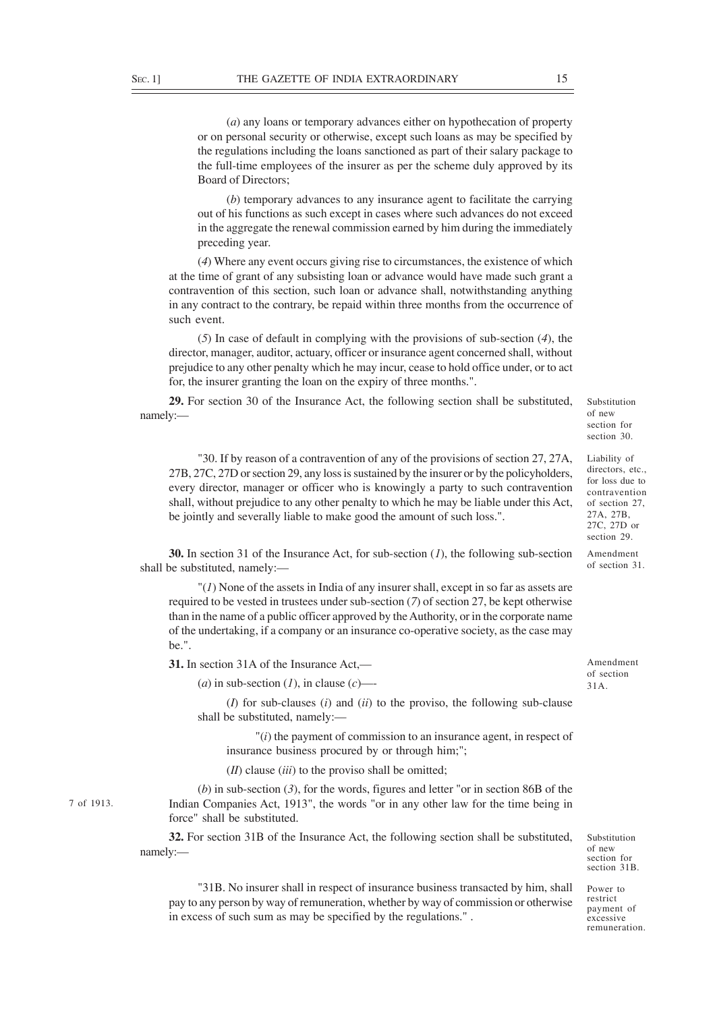(*a*) any loans or temporary advances either on hypothecation of property or on personal security or otherwise, except such loans as may be specified by the regulations including the loans sanctioned as part of their salary package to the full-time employees of the insurer as per the scheme duly approved by its Board of Directors;

(*b*) temporary advances to any insurance agent to facilitate the carrying out of his functions as such except in cases where such advances do not exceed in the aggregate the renewal commission earned by him during the immediately preceding year.

(*4*) Where any event occurs giving rise to circumstances, the existence of which at the time of grant of any subsisting loan or advance would have made such grant a contravention of this section, such loan or advance shall, notwithstanding anything in any contract to the contrary, be repaid within three months from the occurrence of such event.

(*5*) In case of default in complying with the provisions of sub-section (*4*), the director, manager, auditor, actuary, officer or insurance agent concerned shall, without prejudice to any other penalty which he may incur, cease to hold office under, or to act for, the insurer granting the loan on the expiry of three months.".

**29.** For section 30 of the Insurance Act, the following section shall be substituted, namely:—

"30. If by reason of a contravention of any of the provisions of section 27, 27A, 27B, 27C, 27D or section 29, any loss is sustained by the insurer or by the policyholders, every director, manager or officer who is knowingly a party to such contravention shall, without prejudice to any other penalty to which he may be liable under this Act, be jointly and severally liable to make good the amount of such loss.".

**30.** In section 31 of the Insurance Act, for sub-section (*1*), the following sub-section shall be substituted, namely:—

 $''(1)$  None of the assets in India of any insurer shall, except in so far as assets are required to be vested in trustees under sub-section (*7*) of section 27, be kept otherwise than in the name of a public officer approved by the Authority, or in the corporate name of the undertaking, if a company or an insurance co-operative society, as the case may be.".

**31.** In section 31A of the Insurance Act,—

 $(a)$  in sub-section  $(I)$ , in clause  $(c)$ —-

(*I*) for sub-clauses (*i*) and (*ii*) to the proviso, the following sub-clause shall be substituted, namely:—

"(*i*) the payment of commission to an insurance agent, in respect of insurance business procured by or through him;";

(*II*) clause (*iii*) to the proviso shall be omitted;

(*b*) in sub-section (*3*), for the words, figures and letter "or in section 86B of the Indian Companies Act, 1913", the words "or in any other law for the time being in force" shall be substituted.

**32.** For section 31B of the Insurance Act, the following section shall be substituted, namely:—

"31B. No insurer shall in respect of insurance business transacted by him, shall pay to any person by way of remuneration, whether by way of commission or otherwise in excess of such sum as may be specified by the regulations." .

section 30. Liability of directors, etc., for loss due to

Substitution of new section for

contravention of section 27, 27A, 27B, 27C, 27D or section 29.

Amendment of section 31.

Amendment of section 31A.

Substitution of new section for section 31B.

Power to restrict payment of excessive remuneration.

7 of 1913.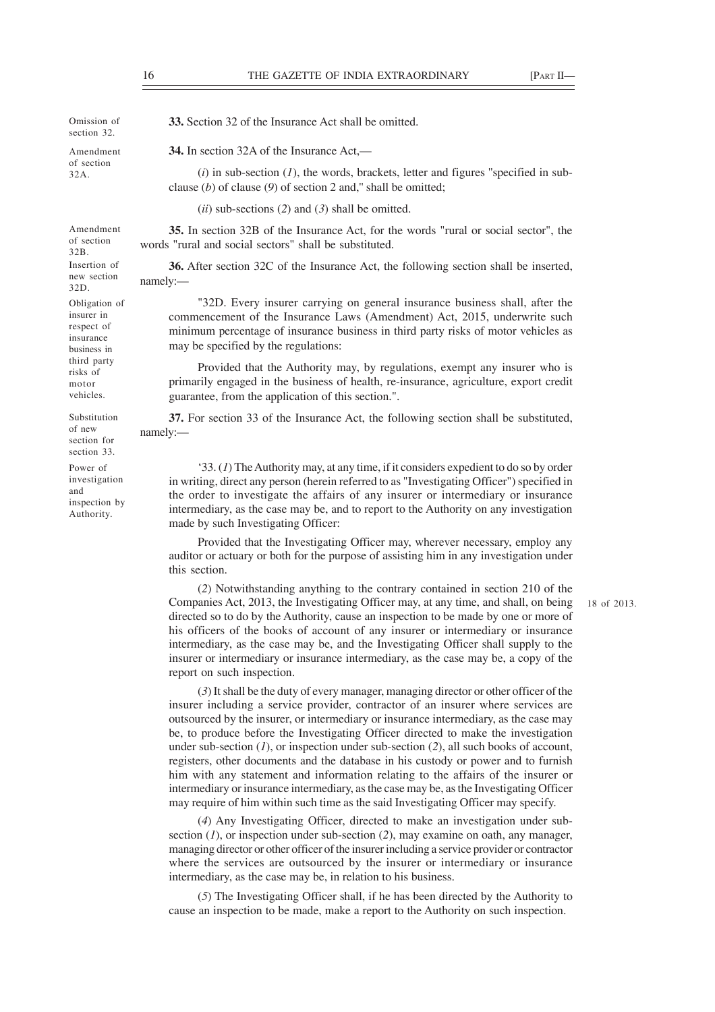18 of 2013.

**34.** In section 32A of the Insurance Act,—  $(i)$  in sub-section  $(I)$ , the words, brackets, letter and figures "specified in subclause (*b*) of clause (*9*) of section 2 and,'' shall be omitted; (*ii*) sub-sections (*2*) and (*3*) shall be omitted. **35.** In section 32B of the Insurance Act, for the words "rural or social sector", the words "rural and social sectors" shall be substituted. namely:— "32D. Every insurer carrying on general insurance business shall, after the commencement of the Insurance Laws (Amendment) Act, 2015, underwrite such minimum percentage of insurance business in third party risks of motor vehicles as may be specified by the regulations: Provided that the Authority may, by regulations, exempt any insurer who is primarily engaged in the business of health, re-insurance, agriculture, export credit guarantee, from the application of this section.". **37.** For section 33 of the Insurance Act, the following section shall be substituted, namely:— Omission of section 32. Amendment of section 32A. Amendment of section 32B. Insertion of new section 32D. Obligation of Substitution

'33. (*1*) The Authority may, at any time, if it considers expedient to do so by order in writing, direct any person (herein referred to as "Investigating Officer") specified in the order to investigate the affairs of any insurer or intermediary or insurance intermediary, as the case may be, and to report to the Authority on any investigation made by such Investigating Officer:

Provided that the Investigating Officer may, wherever necessary, employ any auditor or actuary or both for the purpose of assisting him in any investigation under this section.

(*2*) Notwithstanding anything to the contrary contained in section 210 of the Companies Act, 2013, the Investigating Officer may, at any time, and shall, on being directed so to do by the Authority, cause an inspection to be made by one or more of his officers of the books of account of any insurer or intermediary or insurance intermediary, as the case may be, and the Investigating Officer shall supply to the insurer or intermediary or insurance intermediary, as the case may be, a copy of the report on such inspection.

(*3*) It shall be the duty of every manager, managing director or other officer of the insurer including a service provider, contractor of an insurer where services are outsourced by the insurer, or intermediary or insurance intermediary, as the case may be, to produce before the Investigating Officer directed to make the investigation

under sub-section (*1*), or inspection under sub-section (*2*), all such books of account, registers, other documents and the database in his custody or power and to furnish him with any statement and information relating to the affairs of the insurer or intermediary or insurance intermediary, as the case may be, as the Investigating Officer may require of him within such time as the said Investigating Officer may specify.

(*4*) Any Investigating Officer, directed to make an investigation under subsection (*1*), or inspection under sub-section (*2*), may examine on oath, any manager, managing director or other officer of the insurer including a service provider or contractor where the services are outsourced by the insurer or intermediary or insurance intermediary, as the case may be, in relation to his business.

(*5*) The Investigating Officer shall, if he has been directed by the Authority to cause an inspection to be made, make a report to the Authority on such inspection.

insurer in respect of insurance business in third party risks of motor vehicles.

of new section for section 33.

Power of investigation and inspection by Authority.

**33.** Section 32 of the Insurance Act shall be omitted.

**36.** After section 32C of the Insurance Act, the following section shall be inserted,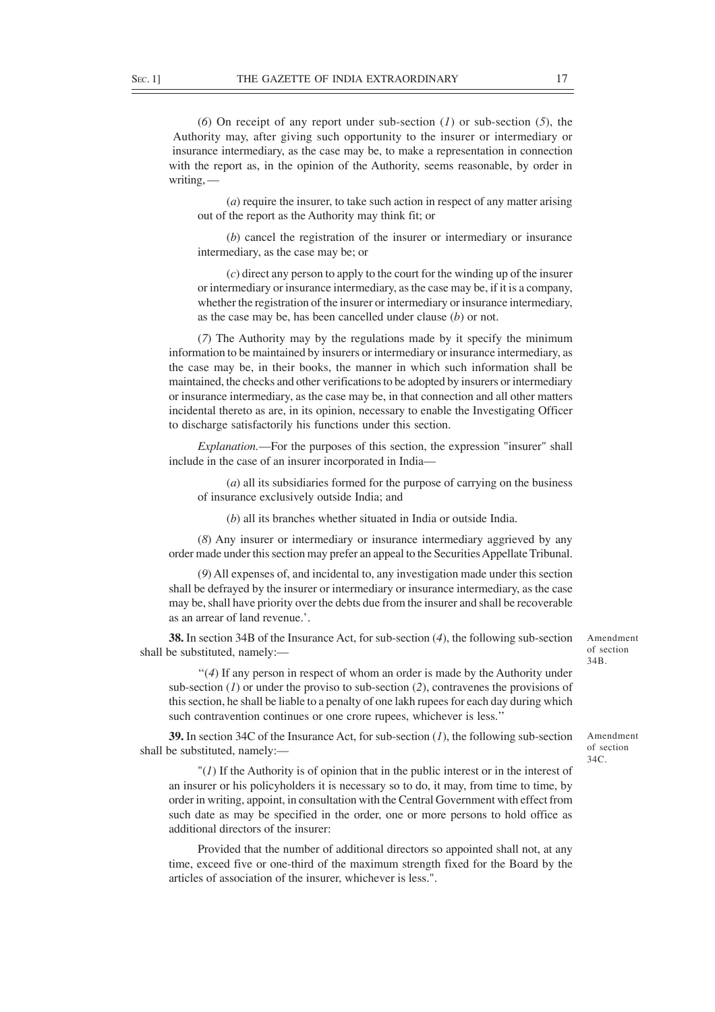(*6*) On receipt of any report under sub-section (*1*) or sub-section (*5*), the Authority may, after giving such opportunity to the insurer or intermediary or insurance intermediary, as the case may be, to make a representation in connection with the report as, in the opinion of the Authority, seems reasonable, by order in writing, —

(*a*) require the insurer, to take such action in respect of any matter arising out of the report as the Authority may think fit; or

(*b*) cancel the registration of the insurer or intermediary or insurance intermediary, as the case may be; or

(*c*) direct any person to apply to the court for the winding up of the insurer or intermediary or insurance intermediary, as the case may be, if it is a company, whether the registration of the insurer or intermediary or insurance intermediary, as the case may be, has been cancelled under clause (*b*) or not.

(*7*) The Authority may by the regulations made by it specify the minimum information to be maintained by insurers or intermediary or insurance intermediary, as the case may be, in their books, the manner in which such information shall be maintained, the checks and other verifications to be adopted by insurers or intermediary or insurance intermediary, as the case may be, in that connection and all other matters incidental thereto as are, in its opinion, necessary to enable the Investigating Officer to discharge satisfactorily his functions under this section.

*Explanation.*—For the purposes of this section, the expression "insurer" shall include in the case of an insurer incorporated in India—

(*a*) all its subsidiaries formed for the purpose of carrying on the business of insurance exclusively outside India; and

(*b*) all its branches whether situated in India or outside India.

(*8*) Any insurer or intermediary or insurance intermediary aggrieved by any order made under this section may prefer an appeal to the Securities Appellate Tribunal.

(*9*) All expenses of, and incidental to, any investigation made under this section shall be defrayed by the insurer or intermediary or insurance intermediary, as the case may be, shall have priority over the debts due from the insurer and shall be recoverable as an arrear of land revenue.'.

**38.** In section 34B of the Insurance Act, for sub-section (*4*), the following sub-section shall be substituted, namely:—

''(*4*) If any person in respect of whom an order is made by the Authority under sub-section (*1*) or under the proviso to sub-section (*2*), contravenes the provisions of this section, he shall be liable to a penalty of one lakh rupees for each day during which such contravention continues or one crore rupees, whichever is less.''

**39.** In section 34C of the Insurance Act, for sub-section (*1*), the following sub-section shall be substituted, namely:—

"(*1*) If the Authority is of opinion that in the public interest or in the interest of an insurer or his policyholders it is necessary so to do, it may, from time to time, by order in writing, appoint, in consultation with the Central Government with effect from such date as may be specified in the order, one or more persons to hold office as additional directors of the insurer:

Provided that the number of additional directors so appointed shall not, at any time, exceed five or one-third of the maximum strength fixed for the Board by the articles of association of the insurer, whichever is less.".

Amendment of section 34B.

Amendment of section  $34C$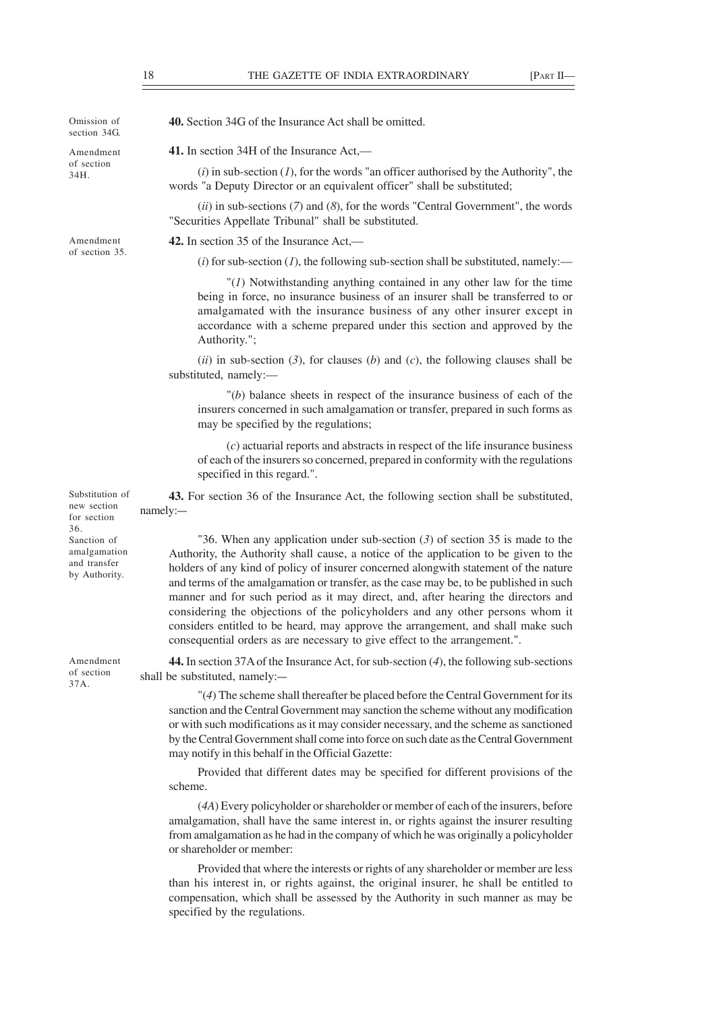Omission of section 34G. Amendment

of section 34H.

Amendment of section 35. **40.** Section 34G of the Insurance Act shall be omitted.

**41.** In section 34H of the Insurance Act,—

(*i*) in sub-section (*1*), for the words "an officer authorised by the Authority", the words "a Deputy Director or an equivalent officer" shall be substituted;

(*ii*) in sub-sections (*7*) and (*8*), for the words "Central Government", the words "Securities Appellate Tribunal" shall be substituted.

**42.** In section 35 of the Insurance Act,—

 $(i)$  for sub-section  $(I)$ , the following sub-section shall be substituted, namely:—

"(*1*) Notwithstanding anything contained in any other law for the time being in force, no insurance business of an insurer shall be transferred to or amalgamated with the insurance business of any other insurer except in accordance with a scheme prepared under this section and approved by the Authority.";

 $(iii)$  in sub-section (3), for clauses (*b*) and (*c*), the following clauses shall be substituted, namely:—

"(*b*) balance sheets in respect of the insurance business of each of the insurers concerned in such amalgamation or transfer, prepared in such forms as may be specified by the regulations;

(*c*) actuarial reports and abstracts in respect of the life insurance business of each of the insurers so concerned, prepared in conformity with the regulations specified in this regard.".

**43.** For section 36 of the Insurance Act, the following section shall be substituted, namely:—

"36. When any application under sub-section (*3*) of section 35 is made to the Authority, the Authority shall cause, a notice of the application to be given to the holders of any kind of policy of insurer concerned alongwith statement of the nature and terms of the amalgamation or transfer, as the case may be, to be published in such manner and for such period as it may direct, and, after hearing the directors and considering the objections of the policyholders and any other persons whom it considers entitled to be heard, may approve the arrangement, and shall make such consequential orders as are necessary to give effect to the arrangement.".

**44.** In section 37A of the Insurance Act, for sub-section (*4*), the following sub-sections shall be substituted, namely:—

"(*4*) The scheme shall thereafter be placed before the Central Government for its sanction and the Central Government may sanction the scheme without any modification or with such modifications as it may consider necessary, and the scheme as sanctioned by the Central Government shall come into force on such date as the Central Government may notify in this behalf in the Official Gazette:

Provided that different dates may be specified for different provisions of the scheme.

(*4A*) Every policyholder or shareholder or member of each of the insurers, before amalgamation, shall have the same interest in, or rights against the insurer resulting from amalgamation as he had in the company of which he was originally a policyholder or shareholder or member:

Provided that where the interests or rights of any shareholder or member are less than his interest in, or rights against, the original insurer, he shall be entitled to compensation, which shall be assessed by the Authority in such manner as may be specified by the regulations.

Substitution of new section for section 36. Sanction of amalgamation and transfer by Authority.

Amendment of section 37A.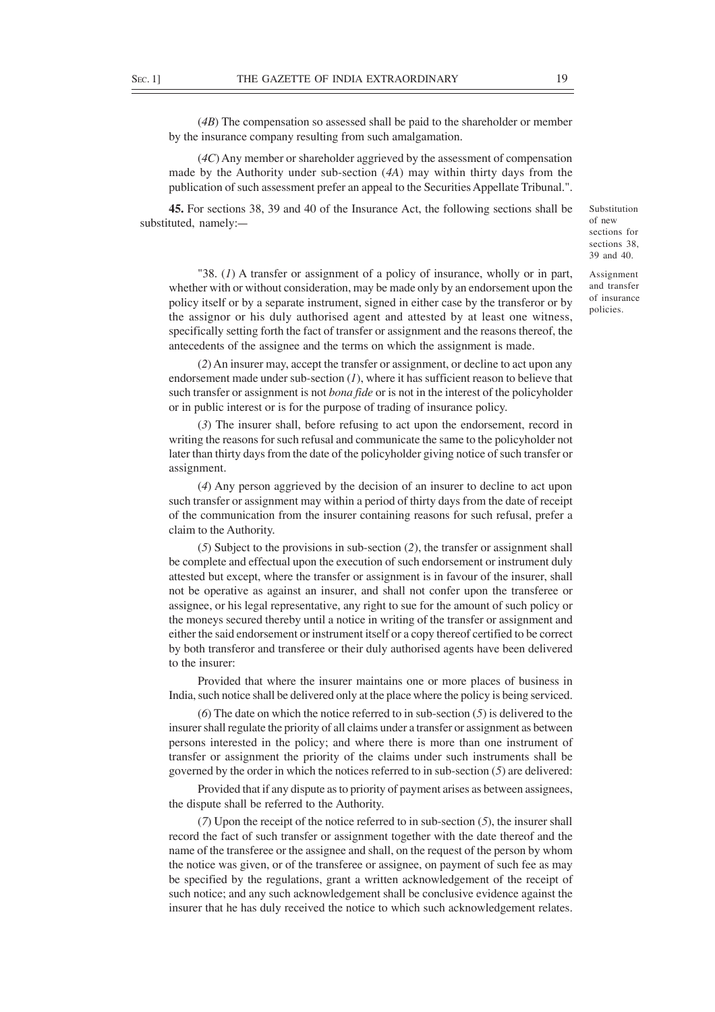(*4B*) The compensation so assessed shall be paid to the shareholder or member by the insurance company resulting from such amalgamation.

(*4C*) Any member or shareholder aggrieved by the assessment of compensation made by the Authority under sub-section (*4A*) may within thirty days from the publication of such assessment prefer an appeal to the Securities Appellate Tribunal.".

**45.** For sections 38, 39 and 40 of the Insurance Act, the following sections shall be substituted, namely:—

Substitution of new sections for sections 38. 39 and 40.

Assignment and transfer of insurance policies.

"38. (*1*) A transfer or assignment of a policy of insurance, wholly or in part, whether with or without consideration, may be made only by an endorsement upon the policy itself or by a separate instrument, signed in either case by the transferor or by the assignor or his duly authorised agent and attested by at least one witness, specifically setting forth the fact of transfer or assignment and the reasons thereof, the antecedents of the assignee and the terms on which the assignment is made.

(*2*) An insurer may, accept the transfer or assignment, or decline to act upon any endorsement made under sub-section (*1*), where it has sufficient reason to believe that such transfer or assignment is not *bona fide* or is not in the interest of the policyholder or in public interest or is for the purpose of trading of insurance policy.

(*3*) The insurer shall, before refusing to act upon the endorsement, record in writing the reasons for such refusal and communicate the same to the policyholder not later than thirty days from the date of the policyholder giving notice of such transfer or assignment.

(*4*) Any person aggrieved by the decision of an insurer to decline to act upon such transfer or assignment may within a period of thirty days from the date of receipt of the communication from the insurer containing reasons for such refusal, prefer a claim to the Authority.

(*5*) Subject to the provisions in sub-section (*2*), the transfer or assignment shall be complete and effectual upon the execution of such endorsement or instrument duly attested but except, where the transfer or assignment is in favour of the insurer, shall not be operative as against an insurer, and shall not confer upon the transferee or assignee, or his legal representative, any right to sue for the amount of such policy or the moneys secured thereby until a notice in writing of the transfer or assignment and either the said endorsement or instrument itself or a copy thereof certified to be correct by both transferor and transferee or their duly authorised agents have been delivered to the insurer:

Provided that where the insurer maintains one or more places of business in India, such notice shall be delivered only at the place where the policy is being serviced.

(*6*) The date on which the notice referred to in sub-section (*5*) is delivered to the insurer shall regulate the priority of all claims under a transfer or assignment as between persons interested in the policy; and where there is more than one instrument of transfer or assignment the priority of the claims under such instruments shall be governed by the order in which the notices referred to in sub-section (*5*) are delivered:

Provided that if any dispute as to priority of payment arises as between assignees, the dispute shall be referred to the Authority.

(*7*) Upon the receipt of the notice referred to in sub-section (*5*), the insurer shall record the fact of such transfer or assignment together with the date thereof and the name of the transferee or the assignee and shall, on the request of the person by whom the notice was given, or of the transferee or assignee, on payment of such fee as may be specified by the regulations, grant a written acknowledgement of the receipt of such notice; and any such acknowledgement shall be conclusive evidence against the insurer that he has duly received the notice to which such acknowledgement relates.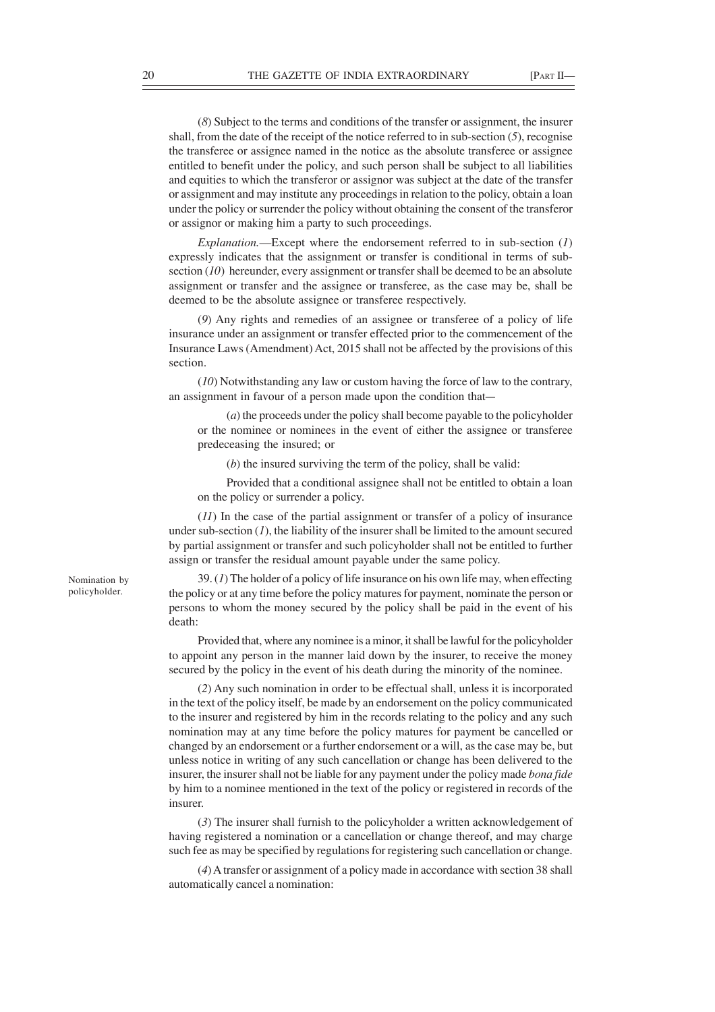(*8*) Subject to the terms and conditions of the transfer or assignment, the insurer shall, from the date of the receipt of the notice referred to in sub-section  $(5)$ , recognise the transferee or assignee named in the notice as the absolute transferee or assignee entitled to benefit under the policy, and such person shall be subject to all liabilities and equities to which the transferor or assignor was subject at the date of the transfer or assignment and may institute any proceedings in relation to the policy, obtain a loan under the policy or surrender the policy without obtaining the consent of the transferor or assignor or making him a party to such proceedings.

*Explanation.*—Except where the endorsement referred to in sub-section (*1*) expressly indicates that the assignment or transfer is conditional in terms of subsection (*10*) hereunder, every assignment or transfer shall be deemed to be an absolute assignment or transfer and the assignee or transferee, as the case may be, shall be deemed to be the absolute assignee or transferee respectively.

(*9*) Any rights and remedies of an assignee or transferee of a policy of life insurance under an assignment or transfer effected prior to the commencement of the Insurance Laws (Amendment) Act, 2015 shall not be affected by the provisions of this section.

(*10*) Notwithstanding any law or custom having the force of law to the contrary, an assignment in favour of a person made upon the condition that—

(*a*) the proceeds under the policy shall become payable to the policyholder or the nominee or nominees in the event of either the assignee or transferee predeceasing the insured; or

(*b*) the insured surviving the term of the policy, shall be valid:

Provided that a conditional assignee shall not be entitled to obtain a loan on the policy or surrender a policy.

(*11*) In the case of the partial assignment or transfer of a policy of insurance under sub-section  $(I)$ , the liability of the insurer shall be limited to the amount secured by partial assignment or transfer and such policyholder shall not be entitled to further assign or transfer the residual amount payable under the same policy.

39. (*1*) The holder of a policy of life insurance on his own life may, when effecting the policy or at any time before the policy matures for payment, nominate the person or persons to whom the money secured by the policy shall be paid in the event of his death:

Provided that, where any nominee is a minor, it shall be lawful for the policyholder to appoint any person in the manner laid down by the insurer, to receive the money secured by the policy in the event of his death during the minority of the nominee.

(*2*) Any such nomination in order to be effectual shall, unless it is incorporated in the text of the policy itself, be made by an endorsement on the policy communicated to the insurer and registered by him in the records relating to the policy and any such nomination may at any time before the policy matures for payment be cancelled or changed by an endorsement or a further endorsement or a will, as the case may be, but unless notice in writing of any such cancellation or change has been delivered to the insurer, the insurer shall not be liable for any payment under the policy made *bona fide* by him to a nominee mentioned in the text of the policy or registered in records of the insurer.

(*3*) The insurer shall furnish to the policyholder a written acknowledgement of having registered a nomination or a cancellation or change thereof, and may charge such fee as may be specified by regulations for registering such cancellation or change.

(*4*) A transfer or assignment of a policy made in accordance with section 38 shall automatically cancel a nomination:

Nomination by policyholder.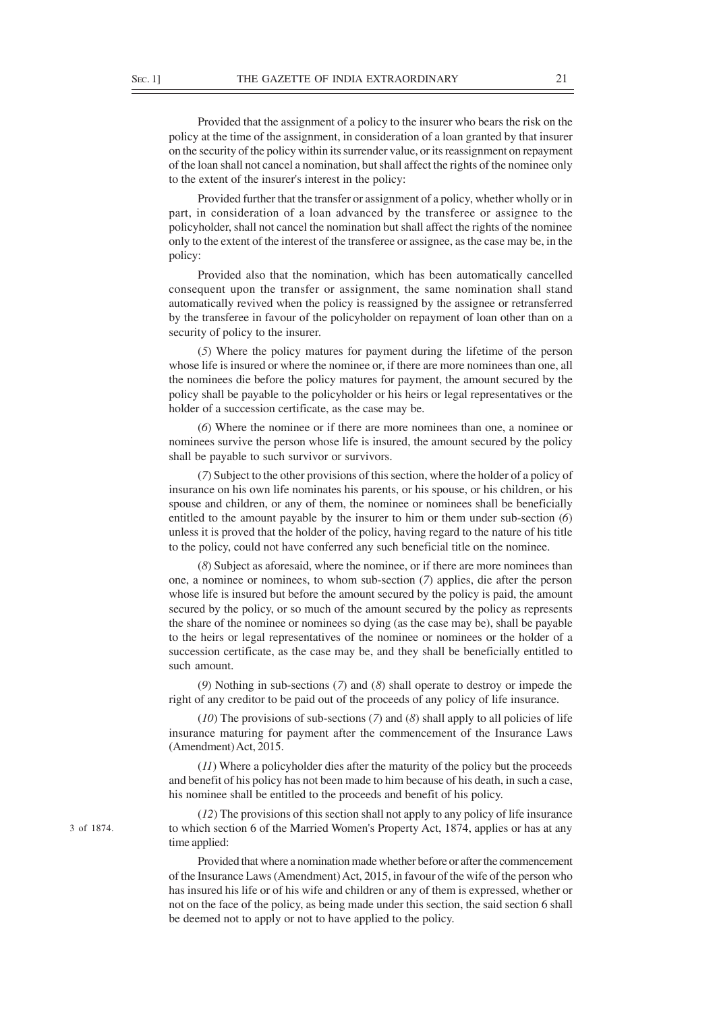Provided that the assignment of a policy to the insurer who bears the risk on the policy at the time of the assignment, in consideration of a loan granted by that insurer on the security of the policy within its surrender value, or its reassignment on repayment of the loan shall not cancel a nomination, but shall affect the rights of the nominee only to the extent of the insurer's interest in the policy:

Provided further that the transfer or assignment of a policy, whether wholly or in part, in consideration of a loan advanced by the transferee or assignee to the policyholder, shall not cancel the nomination but shall affect the rights of the nominee only to the extent of the interest of the transferee or assignee, as the case may be, in the policy:

Provided also that the nomination, which has been automatically cancelled consequent upon the transfer or assignment, the same nomination shall stand automatically revived when the policy is reassigned by the assignee or retransferred by the transferee in favour of the policyholder on repayment of loan other than on a security of policy to the insurer.

(*5*) Where the policy matures for payment during the lifetime of the person whose life is insured or where the nominee or, if there are more nominees than one, all the nominees die before the policy matures for payment, the amount secured by the policy shall be payable to the policyholder or his heirs or legal representatives or the holder of a succession certificate, as the case may be.

(*6*) Where the nominee or if there are more nominees than one, a nominee or nominees survive the person whose life is insured, the amount secured by the policy shall be payable to such survivor or survivors.

(*7*) Subject to the other provisions of this section, where the holder of a policy of insurance on his own life nominates his parents, or his spouse, or his children, or his spouse and children, or any of them, the nominee or nominees shall be beneficially entitled to the amount payable by the insurer to him or them under sub-section (*6*) unless it is proved that the holder of the policy, having regard to the nature of his title to the policy, could not have conferred any such beneficial title on the nominee.

(*8*) Subject as aforesaid, where the nominee, or if there are more nominees than one, a nominee or nominees, to whom sub-section (*7*) applies, die after the person whose life is insured but before the amount secured by the policy is paid, the amount secured by the policy, or so much of the amount secured by the policy as represents the share of the nominee or nominees so dying (as the case may be), shall be payable to the heirs or legal representatives of the nominee or nominees or the holder of a succession certificate, as the case may be, and they shall be beneficially entitled to such amount.

(*9*) Nothing in sub-sections (*7*) and (*8*) shall operate to destroy or impede the right of any creditor to be paid out of the proceeds of any policy of life insurance.

(*10*) The provisions of sub-sections (*7*) and (*8*) shall apply to all policies of life insurance maturing for payment after the commencement of the Insurance Laws (Amendment) Act, 2015.

(*11*) Where a policyholder dies after the maturity of the policy but the proceeds and benefit of his policy has not been made to him because of his death, in such a case, his nominee shall be entitled to the proceeds and benefit of his policy.

(*12*) The provisions of this section shall not apply to any policy of life insurance to which section 6 of the Married Women's Property Act, 1874, applies or has at any time applied:

Provided that where a nomination made whether before or after the commencement of the Insurance Laws (Amendment) Act, 2015, in favour of the wife of the person who has insured his life or of his wife and children or any of them is expressed, whether or not on the face of the policy, as being made under this section, the said section 6 shall be deemed not to apply or not to have applied to the policy.

3 of 1874.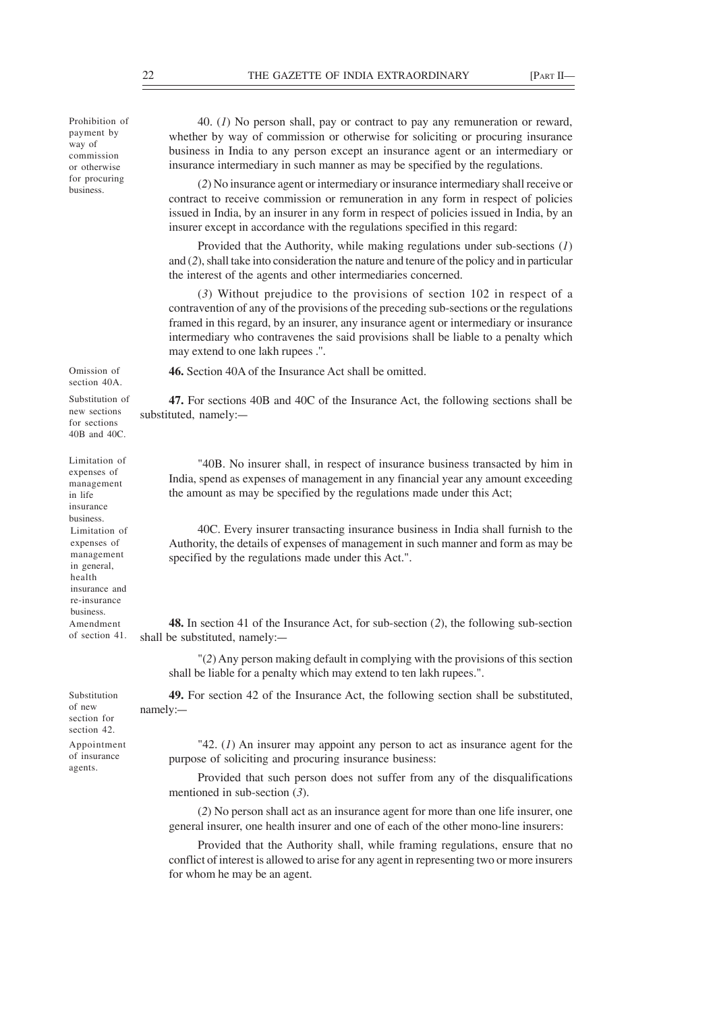Prohibition of payment by way of commission or otherwise for procuring business.

40. (*1*) No person shall, pay or contract to pay any remuneration or reward, whether by way of commission or otherwise for soliciting or procuring insurance business in India to any person except an insurance agent or an intermediary or insurance intermediary in such manner as may be specified by the regulations.

(*2*) No insurance agent or intermediary or insurance intermediary shall receive or contract to receive commission or remuneration in any form in respect of policies issued in India, by an insurer in any form in respect of policies issued in India, by an insurer except in accordance with the regulations specified in this regard:

Provided that the Authority, while making regulations under sub-sections (*1*) and (*2*), shall take into consideration the nature and tenure of the policy and in particular the interest of the agents and other intermediaries concerned.

(*3*) Without prejudice to the provisions of section 102 in respect of a contravention of any of the provisions of the preceding sub-sections or the regulations framed in this regard, by an insurer, any insurance agent or intermediary or insurance intermediary who contravenes the said provisions shall be liable to a penalty which may extend to one lakh rupees .''.

**46.** Section 40A of the Insurance Act shall be omitted.

**47.** For sections 40B and 40C of the Insurance Act, the following sections shall be substituted, namely:—

"40B. No insurer shall, in respect of insurance business transacted by him in India, spend as expenses of management in any financial year any amount exceeding the amount as may be specified by the regulations made under this Act;

40C. Every insurer transacting insurance business in India shall furnish to the Authority, the details of expenses of management in such manner and form as may be specified by the regulations made under this Act.".

**48.** In section 41 of the Insurance Act, for sub-section (*2*), the following sub-section shall be substituted, namely:—

"(*2*) Any person making default in complying with the provisions of this section shall be liable for a penalty which may extend to ten lakh rupees.".

**49.** For section 42 of the Insurance Act, the following section shall be substituted, namely:—

of new section for section 42.

Substitution

Appointment of insurance agents.

"42. (*1*) An insurer may appoint any person to act as insurance agent for the purpose of soliciting and procuring insurance business:

Provided that such person does not suffer from any of the disqualifications mentioned in sub-section (*3*).

(*2*) No person shall act as an insurance agent for more than one life insurer, one general insurer, one health insurer and one of each of the other mono-line insurers:

Provided that the Authority shall, while framing regulations, ensure that no conflict of interest is allowed to arise for any agent in representing two or more insurers for whom he may be an agent.

Omission of section 40A. Substitution of

new sections for sections 40B and 40C.

Limitation of expenses of management in life insurance business. Limitation of expenses of management in general, health insurance and re-insurance business. Amendment of section 41.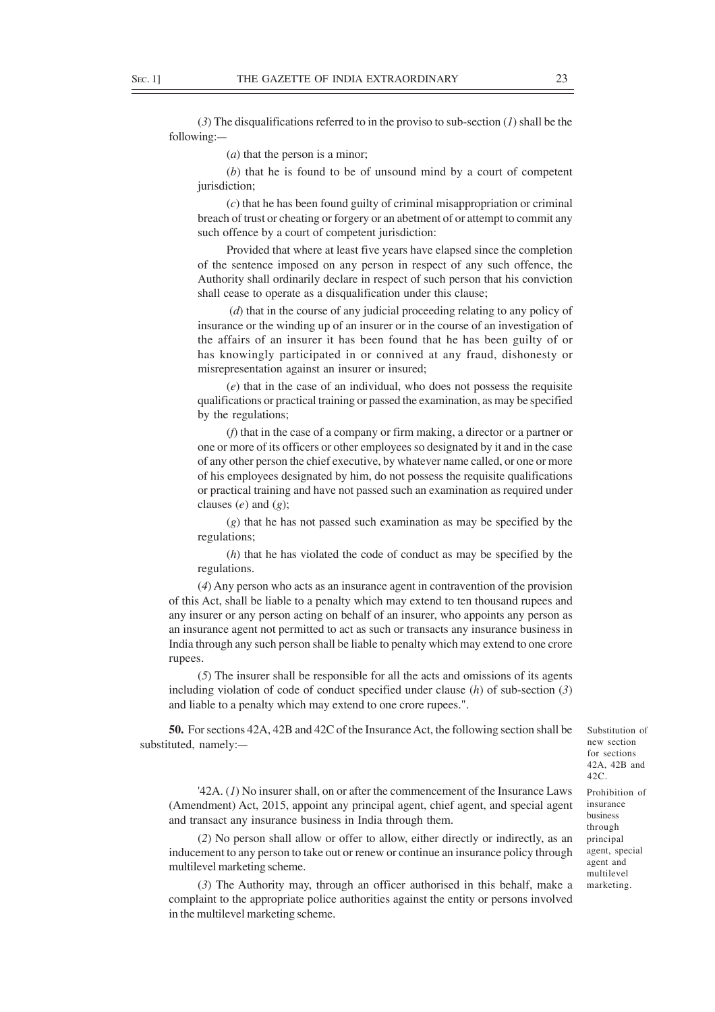(*3*) The disqualifications referred to in the proviso to sub-section (*1*) shall be the following:—

(*a*) that the person is a minor;

(*b*) that he is found to be of unsound mind by a court of competent jurisdiction;

(*c*) that he has been found guilty of criminal misappropriation or criminal breach of trust or cheating or forgery or an abetment of or attempt to commit any such offence by a court of competent jurisdiction:

Provided that where at least five years have elapsed since the completion of the sentence imposed on any person in respect of any such offence, the Authority shall ordinarily declare in respect of such person that his conviction shall cease to operate as a disqualification under this clause;

 (*d*) that in the course of any judicial proceeding relating to any policy of insurance or the winding up of an insurer or in the course of an investigation of the affairs of an insurer it has been found that he has been guilty of or has knowingly participated in or connived at any fraud, dishonesty or misrepresentation against an insurer or insured;

(*e*) that in the case of an individual, who does not possess the requisite qualifications or practical training or passed the examination, as may be specified by the regulations;

(*f*) that in the case of a company or firm making, a director or a partner or one or more of its officers or other employees so designated by it and in the case of any other person the chief executive, by whatever name called, or one or more of his employees designated by him, do not possess the requisite qualifications or practical training and have not passed such an examination as required under clauses (*e*) and (*g*);

(*g*) that he has not passed such examination as may be specified by the regulations;

(*h*) that he has violated the code of conduct as may be specified by the regulations.

(*4*) Any person who acts as an insurance agent in contravention of the provision of this Act, shall be liable to a penalty which may extend to ten thousand rupees and any insurer or any person acting on behalf of an insurer, who appoints any person as an insurance agent not permitted to act as such or transacts any insurance business in India through any such person shall be liable to penalty which may extend to one crore rupees.

(*5*) The insurer shall be responsible for all the acts and omissions of its agents including violation of code of conduct specified under clause (*h*) of sub-section (*3*) and liable to a penalty which may extend to one crore rupees.".

**50.** For sections 42A, 42B and 42C of the Insurance Act, the following section shall be substituted, namely:—

'42A. (*1*) No insurer shall, on or after the commencement of the Insurance Laws (Amendment) Act, 2015, appoint any principal agent, chief agent, and special agent and transact any insurance business in India through them.

(*2*) No person shall allow or offer to allow, either directly or indirectly, as an inducement to any person to take out or renew or continue an insurance policy through multilevel marketing scheme.

(*3*) The Authority may, through an officer authorised in this behalf, make a complaint to the appropriate police authorities against the entity or persons involved in the multilevel marketing scheme.

new section for sections 42A, 42B and  $42C$ Prohibition of insurance business through principal agent, special agent and

multilevel marketing.

Substitution of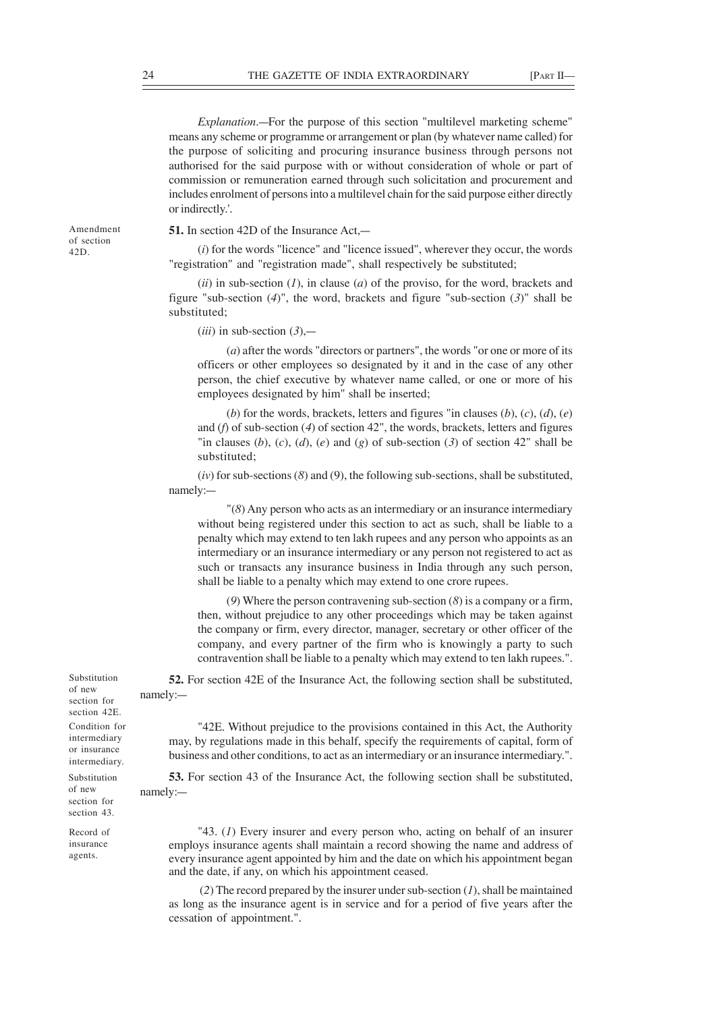*Explanation*.—For the purpose of this section "multilevel marketing scheme" means any scheme or programme or arrangement or plan (by whatever name called) for the purpose of soliciting and procuring insurance business through persons not authorised for the said purpose with or without consideration of whole or part of commission or remuneration earned through such solicitation and procurement and includes enrolment of persons into a multilevel chain for the said purpose either directly or indirectly.'.

Amendment of section 42D.

**51.** In section 42D of the Insurance Act,—

(*i*) for the words "licence" and "licence issued", wherever they occur, the words "registration" and "registration made", shall respectively be substituted;

(*ii*) in sub-section (*1*), in clause (*a*) of the proviso, for the word, brackets and figure "sub-section (*4*)", the word, brackets and figure "sub-section (*3*)" shall be substituted;

 $(iii)$  in sub-section  $(3)$ ,—

(*a*) after the words "directors or partners", the words "or one or more of its officers or other employees so designated by it and in the case of any other person, the chief executive by whatever name called, or one or more of his employees designated by him" shall be inserted;

(*b*) for the words, brackets, letters and figures "in clauses (*b*), (*c*), (*d*), (*e*) and (*f*) of sub-section (*4*) of section 42", the words, brackets, letters and figures "in clauses (b),  $(c)$ ,  $(d)$ ,  $(e)$  and  $(g)$  of sub-section  $(3)$  of section  $42$ " shall be substituted;

(*iv*) for sub-sections (*8*) and (9), the following sub-sections, shall be substituted, namely:—

"(*8*) Any person who acts as an intermediary or an insurance intermediary without being registered under this section to act as such, shall be liable to a penalty which may extend to ten lakh rupees and any person who appoints as an intermediary or an insurance intermediary or any person not registered to act as such or transacts any insurance business in India through any such person, shall be liable to a penalty which may extend to one crore rupees.

(*9*) Where the person contravening sub-section (*8*) is a company or a firm, then, without prejudice to any other proceedings which may be taken against the company or firm, every director, manager, secretary or other officer of the company, and every partner of the firm who is knowingly a party to such contravention shall be liable to a penalty which may extend to ten lakh rupees.".

**52.** For section 42E of the Insurance Act, the following section shall be substituted, namely:—

"42E. Without prejudice to the provisions contained in this Act, the Authority may, by regulations made in this behalf, specify the requirements of capital, form of business and other conditions, to act as an intermediary or an insurance intermediary.".

**53.** For section 43 of the Insurance Act, the following section shall be substituted, namely:—

"43. (*1*) Every insurer and every person who, acting on behalf of an insurer employs insurance agents shall maintain a record showing the name and address of every insurance agent appointed by him and the date on which his appointment began and the date, if any, on which his appointment ceased.

 (*2*) The record prepared by the insurer under sub-section (*1*), shall be maintained as long as the insurance agent is in service and for a period of five years after the cessation of appointment.".

Substitution of new section for section 42E. Condition for intermediary or insurance intermediary.

Substitution of new section for section 43.

Record of insurance agents.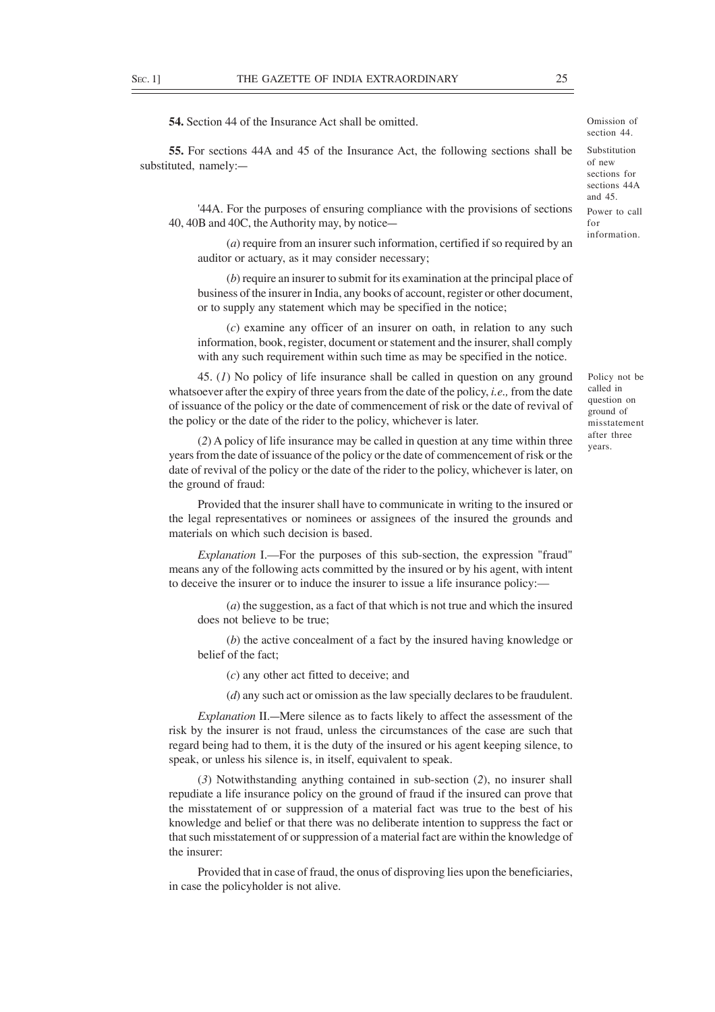**54.** Section 44 of the Insurance Act shall be omitted.

**55.** For sections 44A and 45 of the Insurance Act, the following sections shall be substituted, namely:—

'44A. For the purposes of ensuring compliance with the provisions of sections 40, 40B and 40C, the Authority may, by notice—

(*a*) require from an insurer such information, certified if so required by an auditor or actuary, as it may consider necessary;

(*b*) require an insurer to submit for its examination at the principal place of business of the insurer in India, any books of account, register or other document, or to supply any statement which may be specified in the notice;

(*c*) examine any officer of an insurer on oath, in relation to any such information, book, register, document or statement and the insurer, shall comply with any such requirement within such time as may be specified in the notice.

45. (*1*) No policy of life insurance shall be called in question on any ground whatsoever after the expiry of three years from the date of the policy, *i.e.,* from the date of issuance of the policy or the date of commencement of risk or the date of revival of the policy or the date of the rider to the policy, whichever is later.

(*2*) A policy of life insurance may be called in question at any time within three years from the date of issuance of the policy or the date of commencement of risk or the date of revival of the policy or the date of the rider to the policy, whichever is later, on the ground of fraud:

Provided that the insurer shall have to communicate in writing to the insured or the legal representatives or nominees or assignees of the insured the grounds and materials on which such decision is based.

*Explanation* I.—For the purposes of this sub-section, the expression "fraud" means any of the following acts committed by the insured or by his agent, with intent to deceive the insurer or to induce the insurer to issue a life insurance policy:—

(*a*) the suggestion, as a fact of that which is not true and which the insured does not believe to be true;

(*b*) the active concealment of a fact by the insured having knowledge or belief of the fact;

(*c*) any other act fitted to deceive; and

(*d*) any such act or omission as the law specially declares to be fraudulent.

*Explanation* II.—Mere silence as to facts likely to affect the assessment of the risk by the insurer is not fraud, unless the circumstances of the case are such that regard being had to them, it is the duty of the insured or his agent keeping silence, to speak, or unless his silence is, in itself, equivalent to speak.

(*3*) Notwithstanding anything contained in sub-section (*2*), no insurer shall repudiate a life insurance policy on the ground of fraud if the insured can prove that the misstatement of or suppression of a material fact was true to the best of his knowledge and belief or that there was no deliberate intention to suppress the fact or that such misstatement of or suppression of a material fact are within the knowledge of the insurer:

Provided that in case of fraud, the onus of disproving lies upon the beneficiaries, in case the policyholder is not alive.

Power to call for information. Substitution of new sections for sections 44A and 45.

Policy not be called in question on ground of misstatement after three years.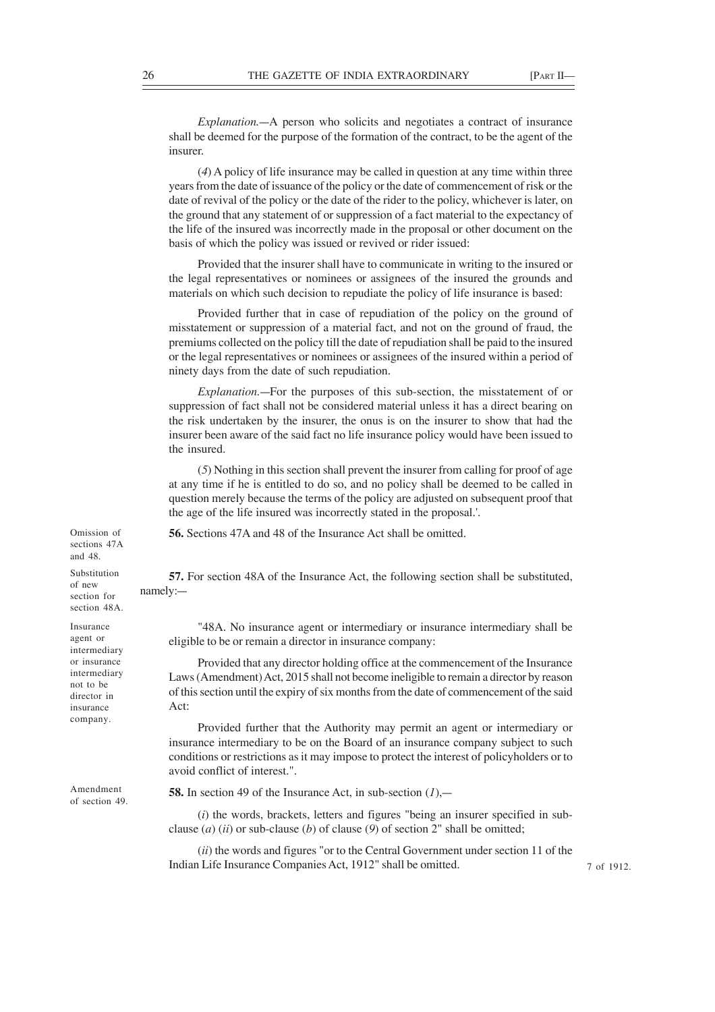*Explanation.*—A person who solicits and negotiates a contract of insurance shall be deemed for the purpose of the formation of the contract, to be the agent of the insurer.

(*4*) A policy of life insurance may be called in question at any time within three years from the date of issuance of the policy or the date of commencement of risk or the date of revival of the policy or the date of the rider to the policy, whichever is later, on the ground that any statement of or suppression of a fact material to the expectancy of the life of the insured was incorrectly made in the proposal or other document on the basis of which the policy was issued or revived or rider issued:

Provided that the insurer shall have to communicate in writing to the insured or the legal representatives or nominees or assignees of the insured the grounds and materials on which such decision to repudiate the policy of life insurance is based:

Provided further that in case of repudiation of the policy on the ground of misstatement or suppression of a material fact, and not on the ground of fraud, the premiums collected on the policy till the date of repudiation shall be paid to the insured or the legal representatives or nominees or assignees of the insured within a period of ninety days from the date of such repudiation.

*Explanation.*—For the purposes of this sub-section, the misstatement of or suppression of fact shall not be considered material unless it has a direct bearing on the risk undertaken by the insurer, the onus is on the insurer to show that had the insurer been aware of the said fact no life insurance policy would have been issued to the insured.

(*5*) Nothing in this section shall prevent the insurer from calling for proof of age at any time if he is entitled to do so, and no policy shall be deemed to be called in question merely because the terms of the policy are adjusted on subsequent proof that the age of the life insured was incorrectly stated in the proposal.'.

**56.** Sections 47A and 48 of the Insurance Act shall be omitted.

**57.** For section 48A of the Insurance Act, the following section shall be substituted, namely:—

"48A. No insurance agent or intermediary or insurance intermediary shall be eligible to be or remain a director in insurance company:

Provided that any director holding office at the commencement of the Insurance Laws (Amendment) Act, 2015 shall not become ineligible to remain a director by reason of this section until the expiry of six months from the date of commencement of the said Act:

Provided further that the Authority may permit an agent or intermediary or insurance intermediary to be on the Board of an insurance company subject to such conditions or restrictions as it may impose to protect the interest of policyholders or to avoid conflict of interest.".

**58.** In section 49 of the Insurance Act, in sub-section (*1*),—

(*i*) the words, brackets, letters and figures "being an insurer specified in subclause (*a*) (*ii*) or sub-clause (*b*) of clause (*9*) of section 2" shall be omitted;

(*ii*) the words and figures "or to the Central Government under section 11 of the Indian Life Insurance Companies Act, 1912" shall be omitted.

Omission of sections 47A and 48.

Substitution of new section for section 48A.

Insurance agent or intermediary or insurance intermediary not to be director in insurance company.

Amendment of section 49.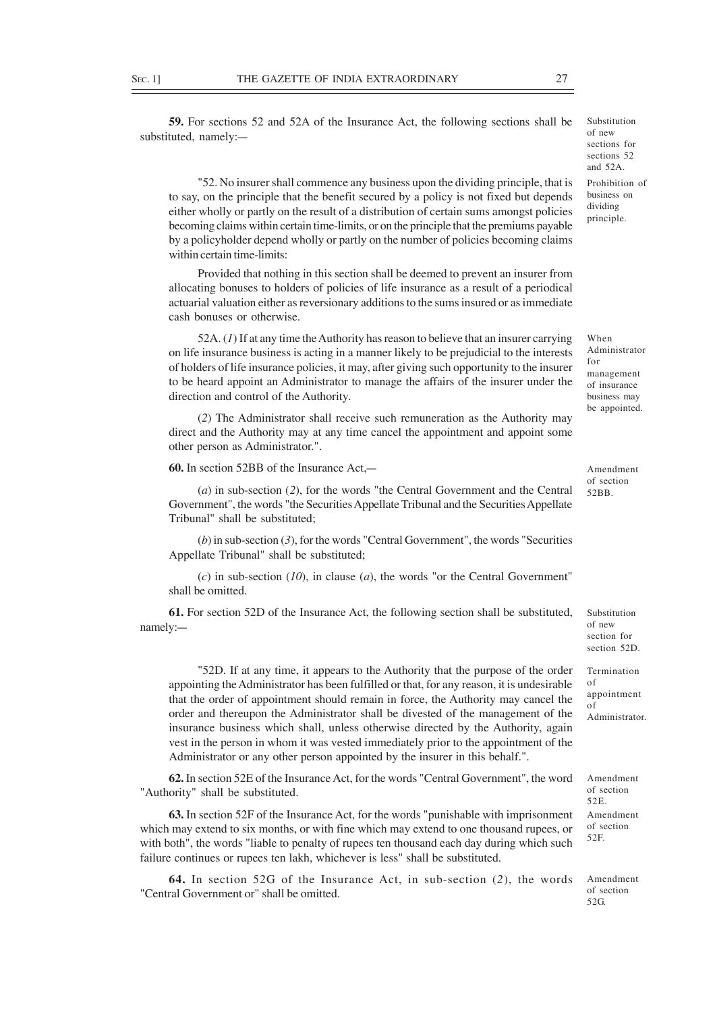**59.** For sections 52 and 52A of the Insurance Act, the following sections shall be substituted, namely:—

"52. No insurer shall commence any business upon the dividing principle, that is to say, on the principle that the benefit secured by a policy is not fixed but depends either wholly or partly on the result of a distribution of certain sums amongst policies becoming claims within certain time-limits, or on the principle that the premiums payable by a policyholder depend wholly or partly on the number of policies becoming claims within certain time-limits:

Provided that nothing in this section shall be deemed to prevent an insurer from allocating bonuses to holders of policies of life insurance as a result of a periodical actuarial valuation either as reversionary additions to the sums insured or as immediate cash bonuses or otherwise.

52A. (*1*) If at any time the Authority has reason to believe that an insurer carrying on life insurance business is acting in a manner likely to be prejudicial to the interests of holders of life insurance policies, it may, after giving such opportunity to the insurer to be heard appoint an Administrator to manage the affairs of the insurer under the direction and control of the Authority.

(*2*) The Administrator shall receive such remuneration as the Authority may direct and the Authority may at any time cancel the appointment and appoint some other person as Administrator.".

**60.** In section 52BB of the Insurance Act,—

(*a*) in sub-section (*2*), for the words "the Central Government and the Central Government", the words "the Securities Appellate Tribunal and the Securities Appellate Tribunal" shall be substituted;

(*b*) in sub-section (*3*), for the words "Central Government", the words "Securities Appellate Tribunal" shall be substituted;

(*c*) in sub-section (*10*), in clause (*a*), the words "or the Central Government" shall be omitted.

**61.** For section 52D of the Insurance Act, the following section shall be substituted, namely:—

"52D. If at any time, it appears to the Authority that the purpose of the order appointing the Administrator has been fulfilled or that, for any reason, it is undesirable that the order of appointment should remain in force, the Authority may cancel the order and thereupon the Administrator shall be divested of the management of the insurance business which shall, unless otherwise directed by the Authority, again vest in the person in whom it was vested immediately prior to the appointment of the Administrator or any other person appointed by the insurer in this behalf.".

**62.** In section 52E of the Insurance Act, for the words "Central Government", the word "Authority" shall be substituted.

**63.** In section 52F of the Insurance Act, for the words "punishable with imprisonment which may extend to six months, or with fine which may extend to one thousand rupees, or with both", the words "liable to penalty of rupees ten thousand each day during which such failure continues or rupees ten lakh, whichever is less" shall be substituted.

**64.** In section 52G of the Insurance Act, in sub-section (*2*), the words "Central Government or" shall be omitted.

Substitution of new section for section 52D.

Termination of appointment of Administrator.

Amendment of section 52E. Amendment of section 52F.

Amendment of section 52G.

Substitution of new sections for sections 52 and 52A.

Prohibition of business on dividing principle.

management of insurance business may be appointed.

When Administrator

for

Amendment of section 52BB.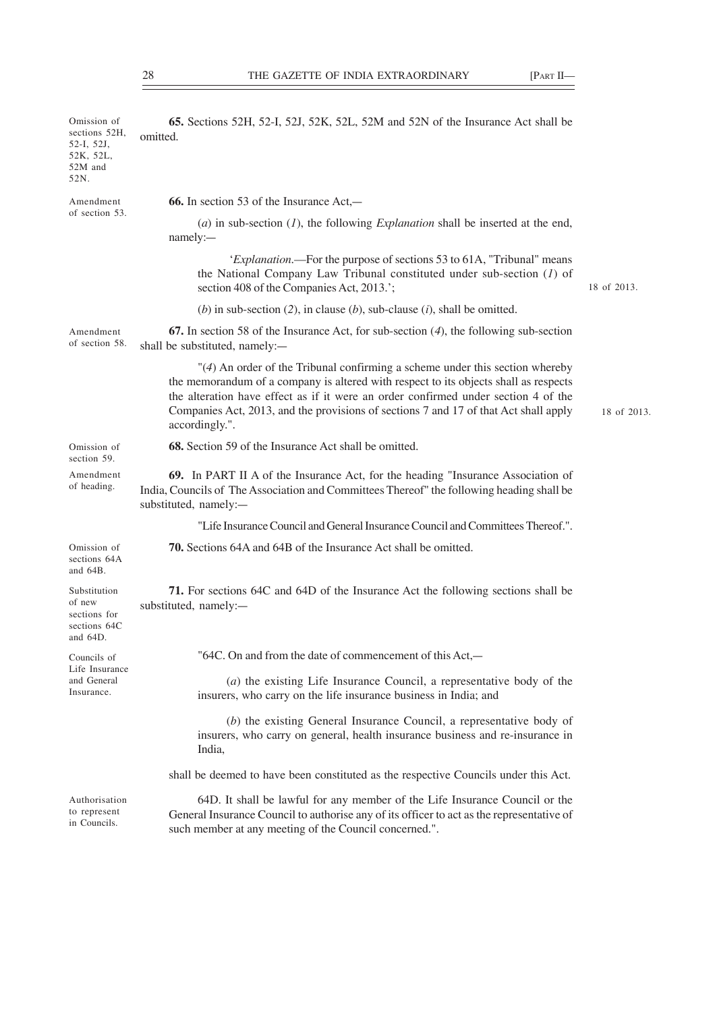| Omission of<br>sections 52H,<br>52-I, 52J,<br>52K, 52L,<br>52M and<br>52N. | 65. Sections 52H, 52-I, 52J, 52K, 52L, 52M and 52N of the Insurance Act shall be<br>omitted.                                                                                                                                                                                                                                                                         |             |
|----------------------------------------------------------------------------|----------------------------------------------------------------------------------------------------------------------------------------------------------------------------------------------------------------------------------------------------------------------------------------------------------------------------------------------------------------------|-------------|
| Amendment<br>of section 53.                                                | <b>66.</b> In section 53 of the Insurance Act,—                                                                                                                                                                                                                                                                                                                      |             |
|                                                                            | (a) in sub-section $(I)$ , the following <i>Explanation</i> shall be inserted at the end,<br>namely:-                                                                                                                                                                                                                                                                |             |
|                                                                            | ' <i>Explanation</i> .—For the purpose of sections 53 to 61A, "Tribunal" means<br>the National Company Law Tribunal constituted under sub-section $(I)$ of<br>section 408 of the Companies Act, 2013.';                                                                                                                                                              | 18 of 2013. |
|                                                                            | (b) in sub-section (2), in clause (b), sub-clause (i), shall be omitted.                                                                                                                                                                                                                                                                                             |             |
| Amendment<br>of section 58.                                                | <b>67.</b> In section 58 of the Insurance Act, for sub-section $(4)$ , the following sub-section<br>shall be substituted, namely:-                                                                                                                                                                                                                                   |             |
|                                                                            | "(4) An order of the Tribunal confirming a scheme under this section whereby<br>the memorandum of a company is altered with respect to its objects shall as respects<br>the alteration have effect as if it were an order confirmed under section 4 of the<br>Companies Act, 2013, and the provisions of sections 7 and 17 of that Act shall apply<br>accordingly.". | 18 of 2013. |
| Omission of<br>section 59.                                                 | 68. Section 59 of the Insurance Act shall be omitted.                                                                                                                                                                                                                                                                                                                |             |
| Amendment<br>of heading.                                                   | 69. In PART II A of the Insurance Act, for the heading "Insurance Association of<br>India, Councils of The Association and Committees Thereof" the following heading shall be<br>substituted, namely:-                                                                                                                                                               |             |
|                                                                            | "Life Insurance Council and General Insurance Council and Committees Thereof.".                                                                                                                                                                                                                                                                                      |             |
| Omission of<br>sections 64A<br>and $64B$ .                                 | 70. Sections 64A and 64B of the Insurance Act shall be omitted.                                                                                                                                                                                                                                                                                                      |             |
| Substitution<br>of new<br>sections for<br>sections 64C<br>and $64D$ .      | 71. For sections 64C and 64D of the Insurance Act the following sections shall be<br>substituted, namely:-                                                                                                                                                                                                                                                           |             |
| Councils of                                                                | "64C. On and from the date of commencement of this Act,-                                                                                                                                                                                                                                                                                                             |             |
| Life Insurance<br>and General<br>Insurance.                                | $(a)$ the existing Life Insurance Council, a representative body of the<br>insurers, who carry on the life insurance business in India; and                                                                                                                                                                                                                          |             |
|                                                                            | (b) the existing General Insurance Council, a representative body of<br>insurers, who carry on general, health insurance business and re-insurance in<br>India,                                                                                                                                                                                                      |             |
|                                                                            | shall be deemed to have been constituted as the respective Councils under this Act.                                                                                                                                                                                                                                                                                  |             |
| Authorisation<br>to represent<br>in Councils.                              | 64D. It shall be lawful for any member of the Life Insurance Council or the<br>General Insurance Council to authorise any of its officer to act as the representative of<br>such member at any meeting of the Council concerned.".                                                                                                                                   |             |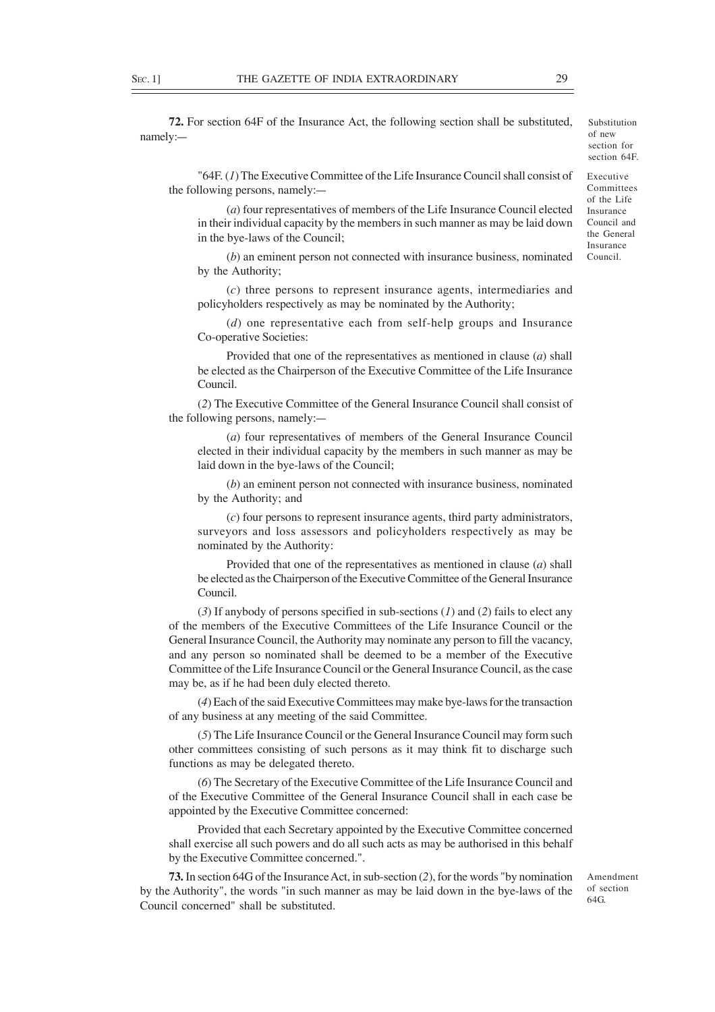**72.** For section 64F of the Insurance Act, the following section shall be substituted, namely:—

"64F. (*1*) The Executive Committee of the Life Insurance Council shall consist of the following persons, namely:—

(*a*) four representatives of members of the Life Insurance Council elected in their individual capacity by the members in such manner as may be laid down in the bye-laws of the Council;

(*b*) an eminent person not connected with insurance business, nominated by the Authority;

(*c*) three persons to represent insurance agents, intermediaries and policyholders respectively as may be nominated by the Authority;

(*d*) one representative each from self-help groups and Insurance Co-operative Societies:

Provided that one of the representatives as mentioned in clause (*a*) shall be elected as the Chairperson of the Executive Committee of the Life Insurance Council.

(*2*) The Executive Committee of the General Insurance Council shall consist of the following persons, namely:—

(*a*) four representatives of members of the General Insurance Council elected in their individual capacity by the members in such manner as may be laid down in the bye-laws of the Council;

(*b*) an eminent person not connected with insurance business, nominated by the Authority; and

(*c*) four persons to represent insurance agents, third party administrators, surveyors and loss assessors and policyholders respectively as may be nominated by the Authority:

Provided that one of the representatives as mentioned in clause (*a*) shall be elected as the Chairperson of the Executive Committee of the General Insurance Council.

(*3*) If anybody of persons specified in sub-sections (*1*) and (*2*) fails to elect any of the members of the Executive Committees of the Life Insurance Council or the General Insurance Council, the Authority may nominate any person to fill the vacancy, and any person so nominated shall be deemed to be a member of the Executive Committee of the Life Insurance Council or the General Insurance Council, as the case may be, as if he had been duly elected thereto.

(*4*) Each of the said Executive Committees may make bye-laws for the transaction of any business at any meeting of the said Committee.

(*5*) The Life Insurance Council or the General Insurance Council may form such other committees consisting of such persons as it may think fit to discharge such functions as may be delegated thereto.

(*6*) The Secretary of the Executive Committee of the Life Insurance Council and of the Executive Committee of the General Insurance Council shall in each case be appointed by the Executive Committee concerned:

Provided that each Secretary appointed by the Executive Committee concerned shall exercise all such powers and do all such acts as may be authorised in this behalf by the Executive Committee concerned.".

**73.** In section 64G of the Insurance Act, in sub-section (*2*), for the words "by nomination by the Authority", the words "in such manner as may be laid down in the bye-laws of the Council concerned" shall be substituted.

Amendment of section 64G.

Executive Substitution of new section for section 64F.

Committees of the Life Insurance Council and the General Insurance Council.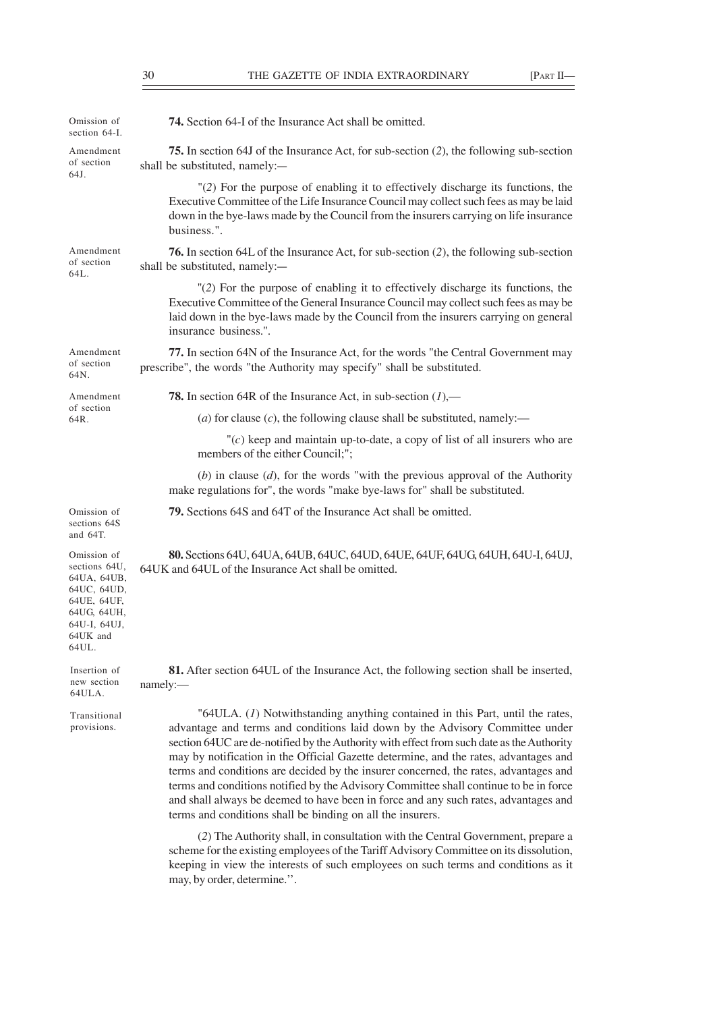| 74. Section 64-I of the Insurance Act shall be omitted.                                                                                                                                                                                                                                                                                                                                                                                                                                                                                                                                                                                                                                                                                                                        |
|--------------------------------------------------------------------------------------------------------------------------------------------------------------------------------------------------------------------------------------------------------------------------------------------------------------------------------------------------------------------------------------------------------------------------------------------------------------------------------------------------------------------------------------------------------------------------------------------------------------------------------------------------------------------------------------------------------------------------------------------------------------------------------|
| 75. In section 64J of the Insurance Act, for sub-section (2), the following sub-section<br>shall be substituted, namely:-                                                                                                                                                                                                                                                                                                                                                                                                                                                                                                                                                                                                                                                      |
| $'(2)$ For the purpose of enabling it to effectively discharge its functions, the<br>Executive Committee of the Life Insurance Council may collect such fees as may be laid<br>down in the bye-laws made by the Council from the insurers carrying on life insurance<br>business.".                                                                                                                                                                                                                                                                                                                                                                                                                                                                                            |
| <b>76.</b> In section 64L of the Insurance Act, for sub-section (2), the following sub-section<br>shall be substituted, namely:-                                                                                                                                                                                                                                                                                                                                                                                                                                                                                                                                                                                                                                               |
| "(2) For the purpose of enabling it to effectively discharge its functions, the<br>Executive Committee of the General Insurance Council may collect such fees as may be<br>laid down in the bye-laws made by the Council from the insurers carrying on general<br>insurance business.".                                                                                                                                                                                                                                                                                                                                                                                                                                                                                        |
| 77. In section 64N of the Insurance Act, for the words "the Central Government may<br>prescribe", the words "the Authority may specify" shall be substituted.                                                                                                                                                                                                                                                                                                                                                                                                                                                                                                                                                                                                                  |
| <b>78.</b> In section 64R of the Insurance Act, in sub-section $(1)$ ,—                                                                                                                                                                                                                                                                                                                                                                                                                                                                                                                                                                                                                                                                                                        |
| (a) for clause $(c)$ , the following clause shall be substituted, namely:—                                                                                                                                                                                                                                                                                                                                                                                                                                                                                                                                                                                                                                                                                                     |
| $\degree$ (c) keep and maintain up-to-date, a copy of list of all insurers who are<br>members of the either Council;";                                                                                                                                                                                                                                                                                                                                                                                                                                                                                                                                                                                                                                                         |
| (b) in clause $(d)$ , for the words "with the previous approval of the Authority<br>make regulations for", the words "make bye-laws for" shall be substituted.                                                                                                                                                                                                                                                                                                                                                                                                                                                                                                                                                                                                                 |
| 79. Sections 64S and 64T of the Insurance Act shall be omitted.                                                                                                                                                                                                                                                                                                                                                                                                                                                                                                                                                                                                                                                                                                                |
| 80. Sections 64U, 64UA, 64UB, 64UC, 64UD, 64UE, 64UF, 64UG, 64UH, 64U-I, 64UJ,<br>64UK and 64UL of the Insurance Act shall be omitted.                                                                                                                                                                                                                                                                                                                                                                                                                                                                                                                                                                                                                                         |
| 81. After section 64UL of the Insurance Act, the following section shall be inserted,<br>namely:                                                                                                                                                                                                                                                                                                                                                                                                                                                                                                                                                                                                                                                                               |
| " $64ULA. (1)$ Notwithstanding anything contained in this Part, until the rates,<br>advantage and terms and conditions laid down by the Advisory Committee under<br>section 64UC are de-notified by the Authority with effect from such date as the Authority<br>may by notification in the Official Gazette determine, and the rates, advantages and<br>terms and conditions are decided by the insurer concerned, the rates, advantages and<br>terms and conditions notified by the Advisory Committee shall continue to be in force<br>and shall always be deemed to have been in force and any such rates, advantages and<br>terms and conditions shall be binding on all the insurers.<br>(2) The Authority shall, in consultation with the Central Government, prepare a |
|                                                                                                                                                                                                                                                                                                                                                                                                                                                                                                                                                                                                                                                                                                                                                                                |

scheme for the existing employees of the Tariff Advisory Committee on its dissolution, keeping in view the interests of such employees on such terms and conditions as it may, by order, determine.''.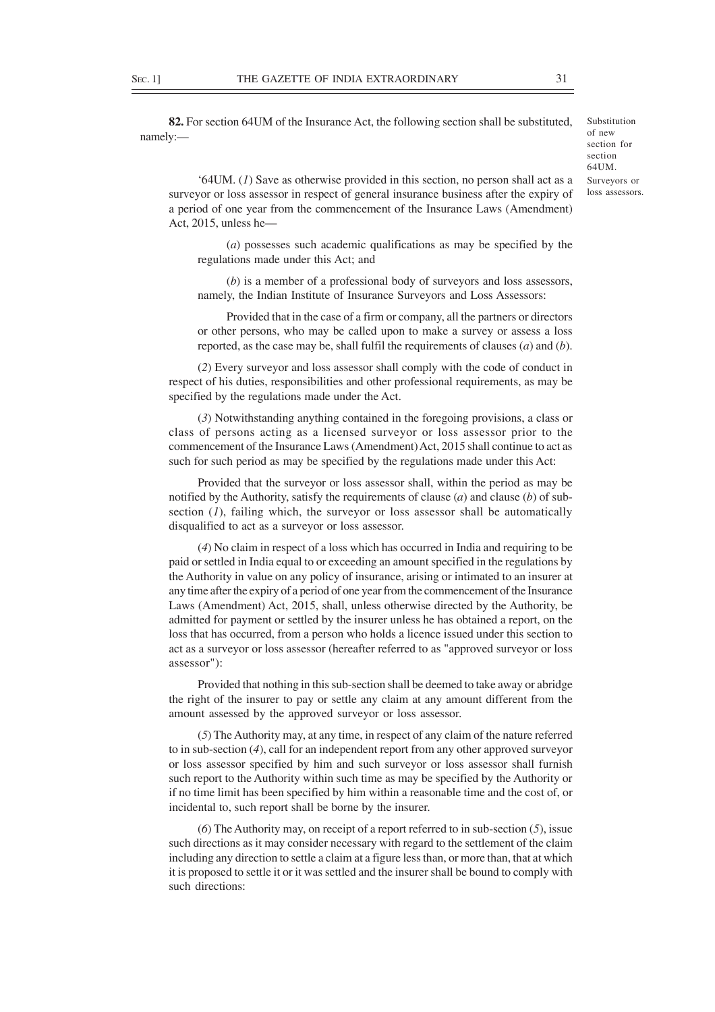**82.** For section 64UM of the Insurance Act, the following section shall be substituted, namely:—

Substitution of new section for section 64UM. Surveyors or loss assessors.

'64UM. (*1*) Save as otherwise provided in this section, no person shall act as a surveyor or loss assessor in respect of general insurance business after the expiry of a period of one year from the commencement of the Insurance Laws (Amendment) Act, 2015, unless he—

(*a*) possesses such academic qualifications as may be specified by the regulations made under this Act; and

(*b*) is a member of a professional body of surveyors and loss assessors, namely, the Indian Institute of Insurance Surveyors and Loss Assessors:

Provided that in the case of a firm or company, all the partners or directors or other persons, who may be called upon to make a survey or assess a loss reported, as the case may be, shall fulfil the requirements of clauses (*a*) and (*b*).

(*2*) Every surveyor and loss assessor shall comply with the code of conduct in respect of his duties, responsibilities and other professional requirements, as may be specified by the regulations made under the Act.

(*3*) Notwithstanding anything contained in the foregoing provisions, a class or class of persons acting as a licensed surveyor or loss assessor prior to the commencement of the Insurance Laws (Amendment) Act, 2015 shall continue to act as such for such period as may be specified by the regulations made under this Act:

Provided that the surveyor or loss assessor shall, within the period as may be notified by the Authority, satisfy the requirements of clause (*a*) and clause (*b*) of subsection (*1*), failing which, the surveyor or loss assessor shall be automatically disqualified to act as a surveyor or loss assessor.

(*4*) No claim in respect of a loss which has occurred in India and requiring to be paid or settled in India equal to or exceeding an amount specified in the regulations by the Authority in value on any policy of insurance, arising or intimated to an insurer at any time after the expiry of a period of one year from the commencement of the Insurance Laws (Amendment) Act, 2015, shall, unless otherwise directed by the Authority, be admitted for payment or settled by the insurer unless he has obtained a report, on the loss that has occurred, from a person who holds a licence issued under this section to act as a surveyor or loss assessor (hereafter referred to as "approved surveyor or loss assessor"):

Provided that nothing in this sub-section shall be deemed to take away or abridge the right of the insurer to pay or settle any claim at any amount different from the amount assessed by the approved surveyor or loss assessor.

(*5*) The Authority may, at any time, in respect of any claim of the nature referred to in sub-section (*4*), call for an independent report from any other approved surveyor or loss assessor specified by him and such surveyor or loss assessor shall furnish such report to the Authority within such time as may be specified by the Authority or if no time limit has been specified by him within a reasonable time and the cost of, or incidental to, such report shall be borne by the insurer.

(*6*) The Authority may, on receipt of a report referred to in sub-section (*5*), issue such directions as it may consider necessary with regard to the settlement of the claim including any direction to settle a claim at a figure less than, or more than, that at which it is proposed to settle it or it was settled and the insurer shall be bound to comply with such directions: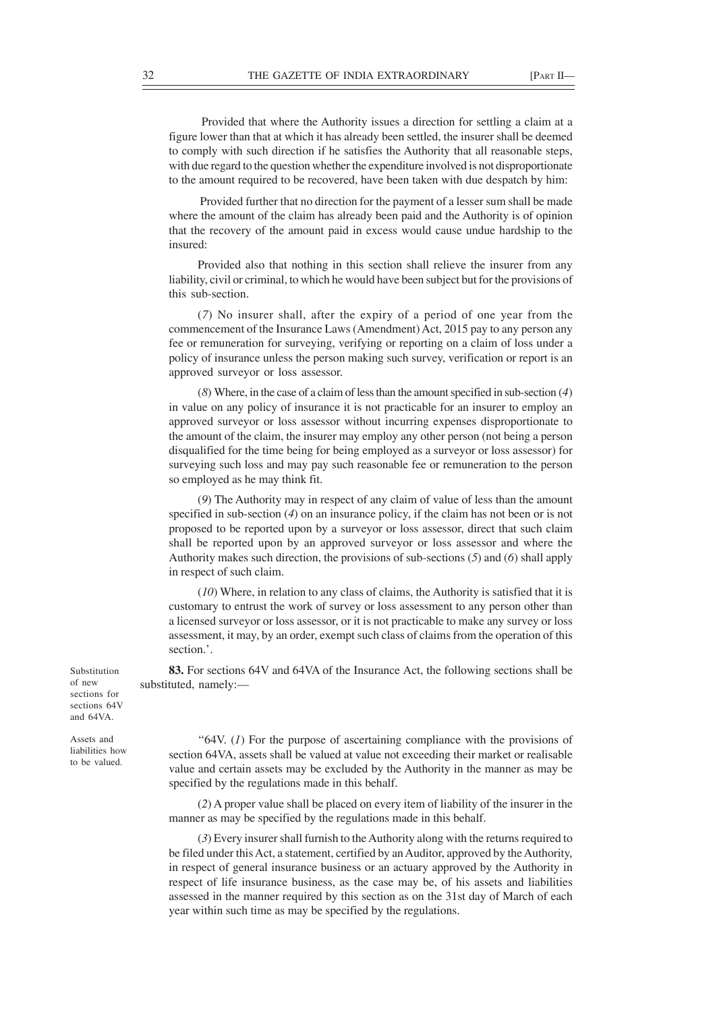Provided that where the Authority issues a direction for settling a claim at a figure lower than that at which it has already been settled, the insurer shall be deemed to comply with such direction if he satisfies the Authority that all reasonable steps, with due regard to the question whether the expenditure involved is not disproportionate to the amount required to be recovered, have been taken with due despatch by him:

 Provided further that no direction for the payment of a lesser sum shall be made where the amount of the claim has already been paid and the Authority is of opinion that the recovery of the amount paid in excess would cause undue hardship to the insured:

Provided also that nothing in this section shall relieve the insurer from any liability, civil or criminal, to which he would have been subject but for the provisions of this sub-section.

(*7*) No insurer shall, after the expiry of a period of one year from the commencement of the Insurance Laws (Amendment) Act, 2015 pay to any person any fee or remuneration for surveying, verifying or reporting on a claim of loss under a policy of insurance unless the person making such survey, verification or report is an approved surveyor or loss assessor.

(*8*) Where, in the case of a claim of less than the amount specified in sub-section (*4*) in value on any policy of insurance it is not practicable for an insurer to employ an approved surveyor or loss assessor without incurring expenses disproportionate to the amount of the claim, the insurer may employ any other person (not being a person disqualified for the time being for being employed as a surveyor or loss assessor) for surveying such loss and may pay such reasonable fee or remuneration to the person so employed as he may think fit.

(*9*) The Authority may in respect of any claim of value of less than the amount specified in sub-section (*4*) on an insurance policy, if the claim has not been or is not proposed to be reported upon by a surveyor or loss assessor, direct that such claim shall be reported upon by an approved surveyor or loss assessor and where the Authority makes such direction, the provisions of sub-sections (*5*) and (*6*) shall apply in respect of such claim.

(*10*) Where, in relation to any class of claims, the Authority is satisfied that it is customary to entrust the work of survey or loss assessment to any person other than a licensed surveyor or loss assessor, or it is not practicable to make any survey or loss assessment, it may, by an order, exempt such class of claims from the operation of this section.'.

**83.** For sections 64V and 64VA of the Insurance Act, the following sections shall be substituted, namely:—

Substitution of new sections for sections 64V and 64VA.

Assets and liabilities how to be valued.

"64V. (1) For the purpose of ascertaining compliance with the provisions of section 64VA, assets shall be valued at value not exceeding their market or realisable value and certain assets may be excluded by the Authority in the manner as may be specified by the regulations made in this behalf.

(*2*) A proper value shall be placed on every item of liability of the insurer in the manner as may be specified by the regulations made in this behalf.

(*3*) Every insurer shall furnish to the Authority along with the returns required to be filed under this Act, a statement, certified by an Auditor, approved by the Authority, in respect of general insurance business or an actuary approved by the Authority in respect of life insurance business, as the case may be, of his assets and liabilities assessed in the manner required by this section as on the 31st day of March of each year within such time as may be specified by the regulations.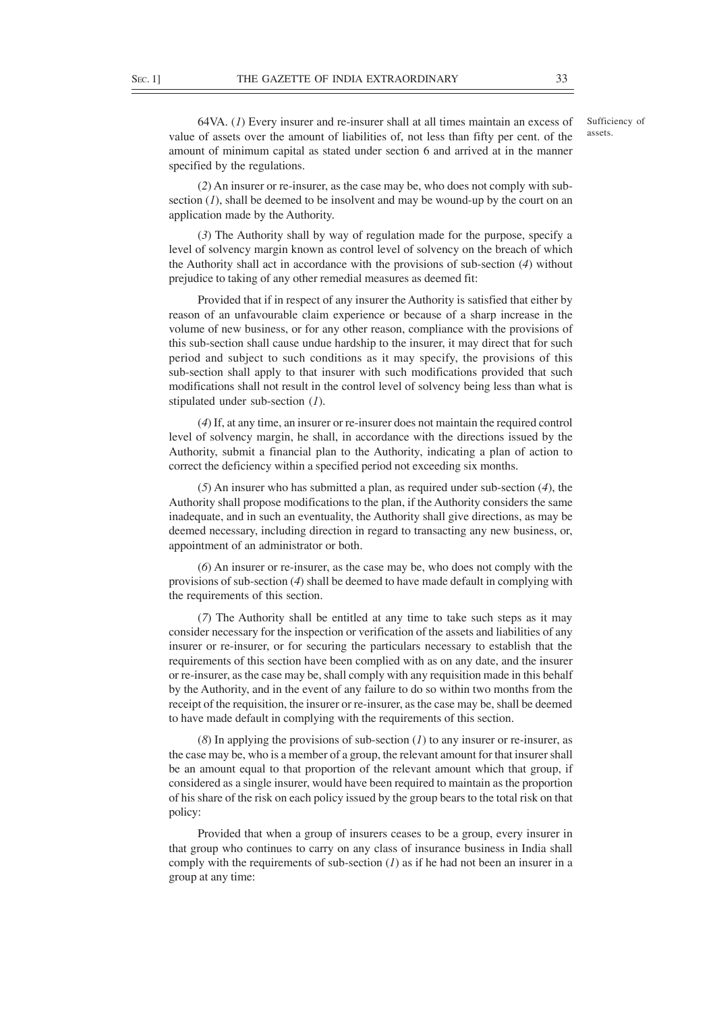64VA. (*1*) Every insurer and re-insurer shall at all times maintain an excess of value of assets over the amount of liabilities of, not less than fifty per cent. of the amount of minimum capital as stated under section 6 and arrived at in the manner specified by the regulations.

(*2*) An insurer or re-insurer, as the case may be, who does not comply with subsection (*1*), shall be deemed to be insolvent and may be wound-up by the court on an application made by the Authority.

(*3*) The Authority shall by way of regulation made for the purpose, specify a level of solvency margin known as control level of solvency on the breach of which the Authority shall act in accordance with the provisions of sub-section (*4*) without prejudice to taking of any other remedial measures as deemed fit:

Provided that if in respect of any insurer the Authority is satisfied that either by reason of an unfavourable claim experience or because of a sharp increase in the volume of new business, or for any other reason, compliance with the provisions of this sub-section shall cause undue hardship to the insurer, it may direct that for such period and subject to such conditions as it may specify, the provisions of this sub-section shall apply to that insurer with such modifications provided that such modifications shall not result in the control level of solvency being less than what is stipulated under sub-section (*1*).

(*4*) If, at any time, an insurer or re-insurer does not maintain the required control level of solvency margin, he shall, in accordance with the directions issued by the Authority, submit a financial plan to the Authority, indicating a plan of action to correct the deficiency within a specified period not exceeding six months.

(*5*) An insurer who has submitted a plan, as required under sub-section (*4*), the Authority shall propose modifications to the plan, if the Authority considers the same inadequate, and in such an eventuality, the Authority shall give directions, as may be deemed necessary, including direction in regard to transacting any new business, or, appointment of an administrator or both.

(*6*) An insurer or re-insurer, as the case may be, who does not comply with the provisions of sub-section (*4*) shall be deemed to have made default in complying with the requirements of this section.

(*7*) The Authority shall be entitled at any time to take such steps as it may consider necessary for the inspection or verification of the assets and liabilities of any insurer or re-insurer, or for securing the particulars necessary to establish that the requirements of this section have been complied with as on any date, and the insurer or re-insurer, as the case may be, shall comply with any requisition made in this behalf by the Authority, and in the event of any failure to do so within two months from the receipt of the requisition, the insurer or re-insurer, as the case may be, shall be deemed to have made default in complying with the requirements of this section.

(*8*) In applying the provisions of sub-section (*1*) to any insurer or re-insurer, as the case may be, who is a member of a group, the relevant amount for that insurer shall be an amount equal to that proportion of the relevant amount which that group, if considered as a single insurer, would have been required to maintain as the proportion of his share of the risk on each policy issued by the group bears to the total risk on that policy:

Provided that when a group of insurers ceases to be a group, every insurer in that group who continues to carry on any class of insurance business in India shall comply with the requirements of sub-section (*1*) as if he had not been an insurer in a group at any time: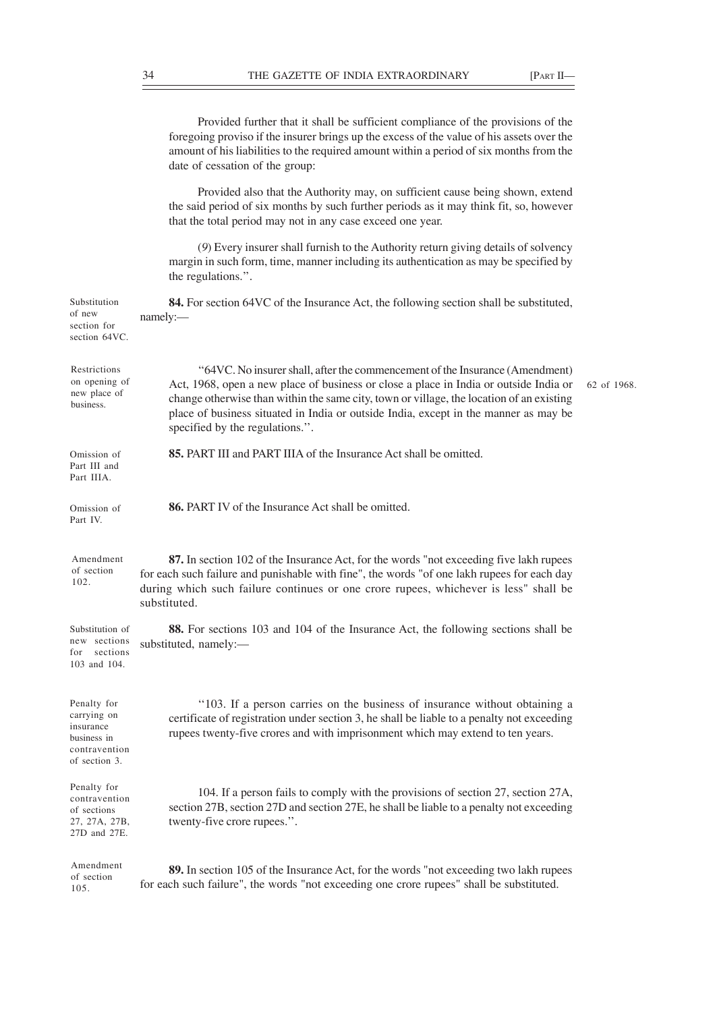Provided further that it shall be sufficient compliance of the provisions of the foregoing proviso if the insurer brings up the excess of the value of his assets over the amount of his liabilities to the required amount within a period of six months from the date of cessation of the group:

Provided also that the Authority may, on sufficient cause being shown, extend the said period of six months by such further periods as it may think fit, so, however that the total period may not in any case exceed one year.

(*9*) Every insurer shall furnish to the Authority return giving details of solvency margin in such form, time, manner including its authentication as may be specified by the regulations.''.

**84.** For section 64VC of the Insurance Act, the following section shall be substituted, namely:— ''64VC. No insurer shall, after the commencement of the Insurance (Amendment) Act, 1968, open a new place of business or close a place in India or outside India or change otherwise than within the same city, town or village, the location of an existing place of business situated in India or outside India, except in the manner as may be specified by the regulations.''. **85.** PART III and PART IIIA of the Insurance Act shall be omitted. **86.** PART IV of the Insurance Act shall be omitted. **87.** In section 102 of the Insurance Act, for the words "not exceeding five lakh rupees for each such failure and punishable with fine", the words "of one lakh rupees for each day during which such failure continues or one crore rupees, whichever is less" shall be substituted. **88.** For sections 103 and 104 of the Insurance Act, the following sections shall be substituted, namely:— ''103. If a person carries on the business of insurance without obtaining a certificate of registration under section 3, he shall be liable to a penalty not exceeding rupees twenty-five crores and with imprisonment which may extend to ten years. 104. If a person fails to comply with the provisions of section 27, section 27A, section 27B, section 27D and section 27E, he shall be liable to a penalty not exceeding twenty-five crore rupees.''. **89.** In section 105 of the Insurance Act, for the words "not exceeding two lakh rupees for each such failure", the words "not exceeding one crore rupees" shall be substituted. Substitution of new section for section 64VC. Restrictions on opening of new place of business. Omission of Part III and Part IIIA. Omission of Part IV. Amendment of section 102. Substitution of new sections for sections 103 and 104. Penalty for carrying on insurance business in contravention of section 3. Penalty for contravention of sections 27, 27A, 27B, 27D and 27E. Amendment of section 105. 62 of 1968.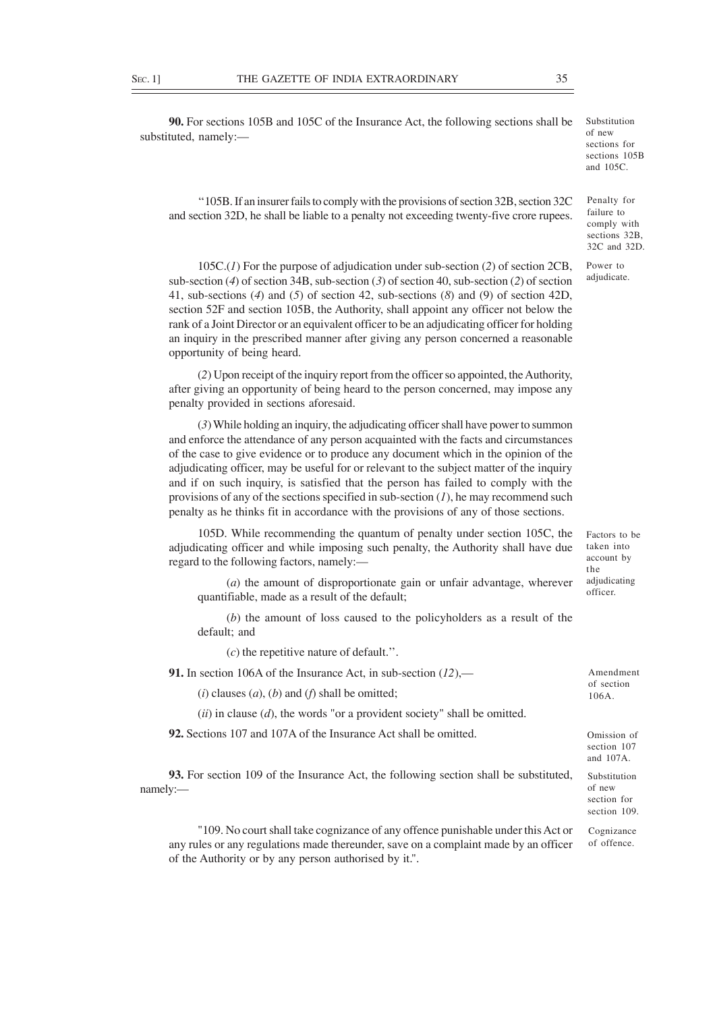**90.** For sections 105B and 105C of the Insurance Act, the following sections shall be substituted, namely:—

''105B. If an insurer fails to comply with the provisions of section 32B, section 32C and section 32D, he shall be liable to a penalty not exceeding twenty-five crore rupees.

105C.(*1*) For the purpose of adjudication under sub-section (*2*) of section 2CB, sub-section (*4*) of section 34B, sub-section (*3*) of section 40, sub-section (*2*) of section 41, sub-sections (*4*) and (*5*) of section 42, sub-sections (*8*) and (9) of section 42D, section 52F and section 105B, the Authority, shall appoint any officer not below the rank of a Joint Director or an equivalent officer to be an adjudicating officer for holding an inquiry in the prescribed manner after giving any person concerned a reasonable opportunity of being heard.

(*2*) Upon receipt of the inquiry report from the officer so appointed, the Authority, after giving an opportunity of being heard to the person concerned, may impose any penalty provided in sections aforesaid.

(*3*) While holding an inquiry, the adjudicating officer shall have power to summon and enforce the attendance of any person acquainted with the facts and circumstances of the case to give evidence or to produce any document which in the opinion of the adjudicating officer, may be useful for or relevant to the subject matter of the inquiry and if on such inquiry, is satisfied that the person has failed to comply with the provisions of any of the sections specified in sub-section (*1*), he may recommend such penalty as he thinks fit in accordance with the provisions of any of those sections.

105D. While recommending the quantum of penalty under section 105C, the adjudicating officer and while imposing such penalty, the Authority shall have due regard to the following factors, namely:— Factors to be

(*a*) the amount of disproportionate gain or unfair advantage, wherever quantifiable, made as a result of the default;

(*b*) the amount of loss caused to the policyholders as a result of the default; and

(*c*) the repetitive nature of default.''.

**91.** In section 106A of the Insurance Act, in sub-section (*12*),—

 $(i)$  clauses  $(a)$ ,  $(b)$  and  $(f)$  shall be omitted;

(*ii*) in clause (*d*), the words "or a provident society" shall be omitted.

**92.** Sections 107 and 107A of the Insurance Act shall be omitted.

**93.** For section 109 of the Insurance Act, the following section shall be substituted, namely:—

"109. No court shall take cognizance of any offence punishable under this Act or any rules or any regulations made thereunder, save on a complaint made by an officer of the Authority or by any person authorised by it.".

taken into account by the adjudicating officer.

32C and 32D. Power to adjudicate.

Penalty for failure to comply with sections 32B,

Omission of section 107 and 107A. Substitution

Amendment of section 106A.

of new section for section 109.

Cognizance of offence.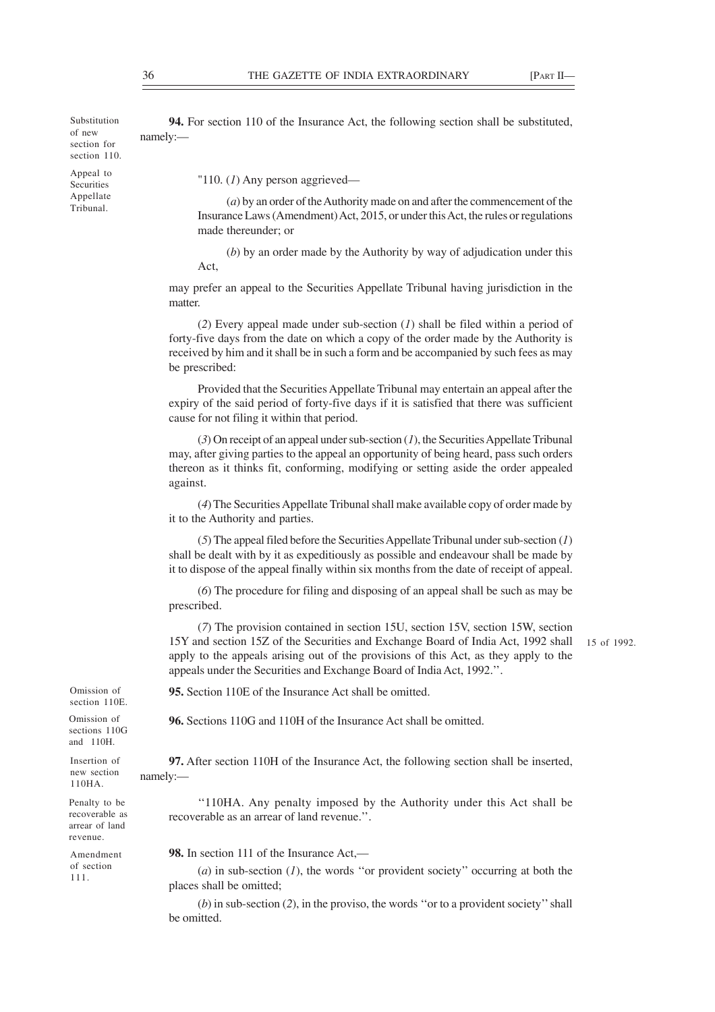Substitution of new section for section 110.

Appeal to **Securities** Appellate Tribunal.

**94.** For section 110 of the Insurance Act, the following section shall be substituted, namely:—

"110. (*1*) Any person aggrieved—

(*a*) by an order of the Authority made on and after the commencement of the Insurance Laws (Amendment) Act, 2015, or under this Act, the rules or regulations made thereunder; or

(*b*) by an order made by the Authority by way of adjudication under this Act,

may prefer an appeal to the Securities Appellate Tribunal having jurisdiction in the matter.

(*2*) Every appeal made under sub-section (*1*) shall be filed within a period of forty-five days from the date on which a copy of the order made by the Authority is received by him and it shall be in such a form and be accompanied by such fees as may be prescribed:

Provided that the Securities Appellate Tribunal may entertain an appeal after the expiry of the said period of forty-five days if it is satisfied that there was sufficient cause for not filing it within that period.

(*3*) On receipt of an appeal under sub-section (*1*), the Securities Appellate Tribunal may, after giving parties to the appeal an opportunity of being heard, pass such orders thereon as it thinks fit, conforming, modifying or setting aside the order appealed against.

(*4*) The Securities Appellate Tribunal shall make available copy of order made by it to the Authority and parties.

(*5*) The appeal filed before the Securities Appellate Tribunal under sub-section (*1*) shall be dealt with by it as expeditiously as possible and endeavour shall be made by it to dispose of the appeal finally within six months from the date of receipt of appeal.

(*6*) The procedure for filing and disposing of an appeal shall be such as may be prescribed.

(*7*) The provision contained in section 15U, section 15V, section 15W, section 15Y and section 15Z of the Securities and Exchange Board of India Act, 1992 shall apply to the appeals arising out of the provisions of this Act, as they apply to the appeals under the Securities and Exchange Board of India Act, 1992.''.

15 of 1992.

Omission of section 110E.

Omission of sections 110G and 110H.

Insertion of new section 110HA. Penalty to be recoverable as arrear of land revenue.

**96.** Sections 110G and 110H of the Insurance Act shall be omitted.

**95.** Section 110E of the Insurance Act shall be omitted.

**97.** After section 110H of the Insurance Act, the following section shall be inserted, namely:—

''110HA. Any penalty imposed by the Authority under this Act shall be recoverable as an arrear of land revenue.''.

Amendment of section 111.

**98.** In section 111 of the Insurance Act,—

(*a*) in sub-section (*1*), the words ''or provident society'' occurring at both the places shall be omitted;

(*b*) in sub-section (*2*), in the proviso, the words ''or to a provident society'' shall be omitted.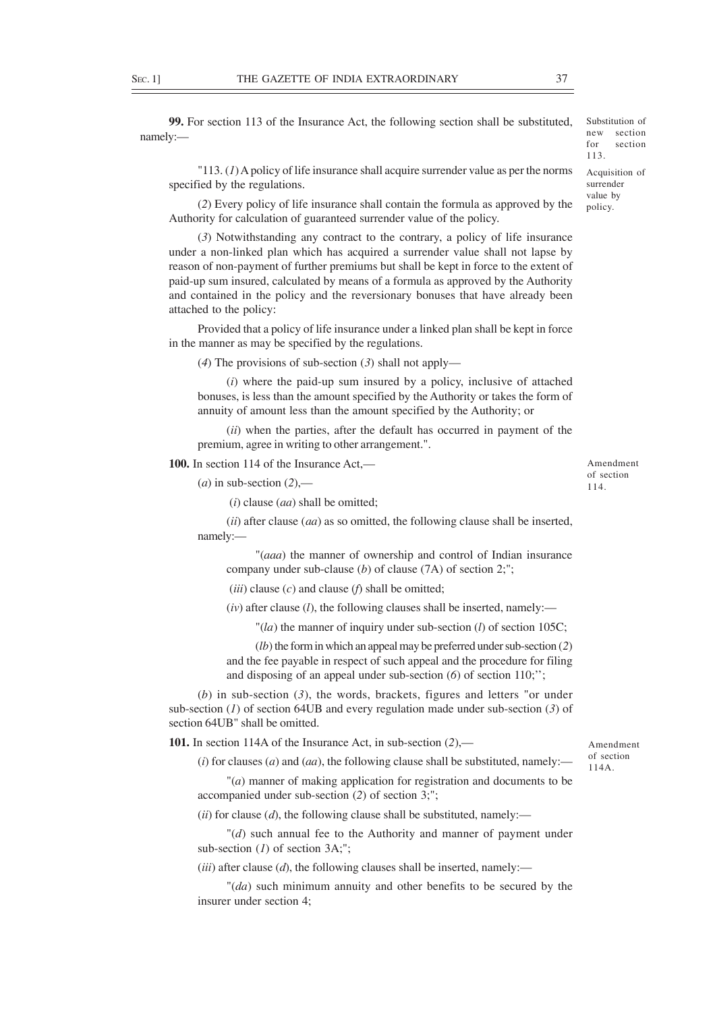**99.** For section 113 of the Insurance Act, the following section shall be substituted, namely:—

for section 113.

Acquisition of surrender value by policy.

Substitution of new section

"113. (*1*) A policy of life insurance shall acquire surrender value as per the norms specified by the regulations.

(*2*) Every policy of life insurance shall contain the formula as approved by the Authority for calculation of guaranteed surrender value of the policy.

(*3*) Notwithstanding any contract to the contrary, a policy of life insurance under a non-linked plan which has acquired a surrender value shall not lapse by reason of non-payment of further premiums but shall be kept in force to the extent of paid-up sum insured, calculated by means of a formula as approved by the Authority and contained in the policy and the reversionary bonuses that have already been attached to the policy:

Provided that a policy of life insurance under a linked plan shall be kept in force in the manner as may be specified by the regulations.

(*4*) The provisions of sub-section (*3*) shall not apply—

(*i*) where the paid-up sum insured by a policy, inclusive of attached bonuses, is less than the amount specified by the Authority or takes the form of annuity of amount less than the amount specified by the Authority; or

(*ii*) when the parties, after the default has occurred in payment of the premium, agree in writing to other arrangement.".

**100.** In section 114 of the Insurance Act,—

 $(a)$  in sub-section  $(2)$ ,—

(*i*) clause (*aa*) shall be omitted;

(*ii*) after clause (*aa*) as so omitted, the following clause shall be inserted, namely:—

"(*aaa*) the manner of ownership and control of Indian insurance company under sub-clause (*b*) of clause (7A) of section 2;";

(*iii*) clause (*c*) and clause (*f*) shall be omitted;

(*iv*) after clause (*l*), the following clauses shall be inserted, namely:—

"(*la*) the manner of inquiry under sub-section (*l*) of section 105C;

(*lb*) the form in which an appeal may be preferred under sub-section (*2*) and the fee payable in respect of such appeal and the procedure for filing and disposing of an appeal under sub-section (*6*) of section 110;'';

(*b*) in sub-section (*3*), the words, brackets, figures and letters "or under sub-section (*1*) of section 64UB and every regulation made under sub-section (*3*) of section 64UB" shall be omitted.

**101.** In section 114A of the Insurance Act, in sub-section (*2*),—

 $(i)$  for clauses  $(a)$  and  $(aa)$ , the following clause shall be substituted, namely:—

"(*a*) manner of making application for registration and documents to be accompanied under sub-section (*2*) of section 3;";

(*ii*) for clause (*d*), the following clause shall be substituted, namely:—

"(*d*) such annual fee to the Authority and manner of payment under sub-section (*1*) of section 3A;";

(*iii*) after clause (*d*), the following clauses shall be inserted, namely:—

"(*da*) such minimum annuity and other benefits to be secured by the insurer under section 4;

Amendment of section 114.

Amendment of section 114A.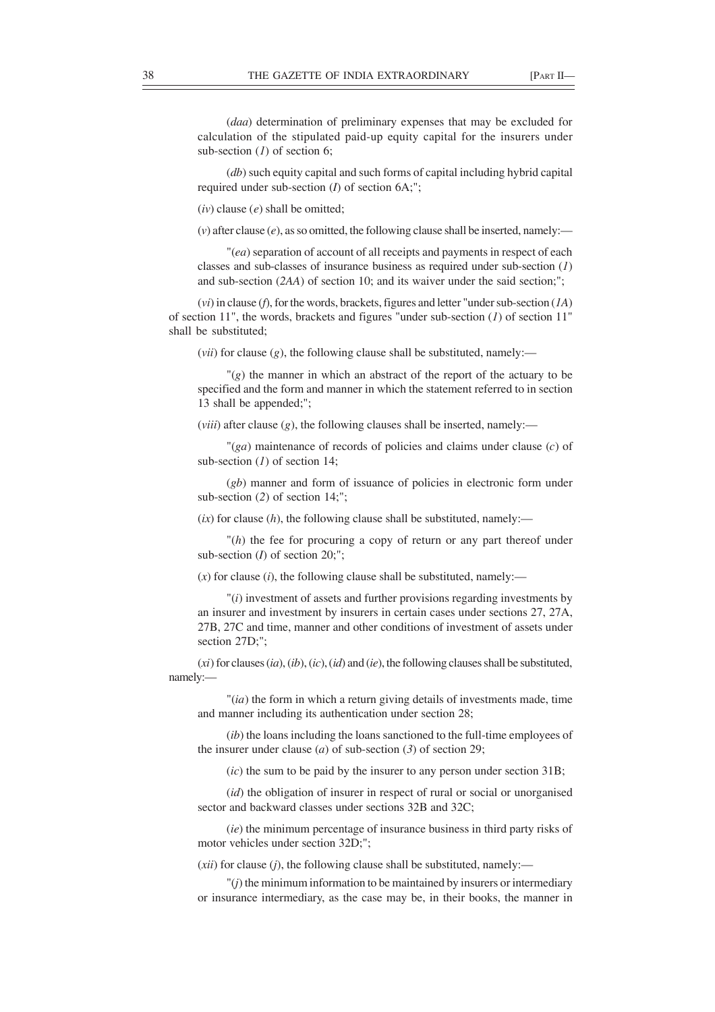(*daa*) determination of preliminary expenses that may be excluded for calculation of the stipulated paid-up equity capital for the insurers under sub-section (*1*) of section 6;

(*db*) such equity capital and such forms of capital including hybrid capital required under sub-section (*I*) of section 6A;";

(*iv*) clause (*e*) shall be omitted;

 $(v)$  after clause  $(e)$ , as so omitted, the following clause shall be inserted, namely:—

"(*ea*) separation of account of all receipts and payments in respect of each classes and sub-classes of insurance business as required under sub-section (*1*) and sub-section (*2AA*) of section 10; and its waiver under the said section;";

(*vi*) in clause (*f*), for the words, brackets, figures and letter "under sub-section (*1A*) of section 11", the words, brackets and figures "under sub-section (*1*) of section 11" shall be substituted;

(*vii*) for clause (*g*), the following clause shall be substituted, namely:—

 $\Gamma(g)$  the manner in which an abstract of the report of the actuary to be specified and the form and manner in which the statement referred to in section 13 shall be appended;";

(*viii*) after clause (*g*), the following clauses shall be inserted, namely:—

"(*ga*) maintenance of records of policies and claims under clause (*c*) of sub-section (*1*) of section 14;

(*gb*) manner and form of issuance of policies in electronic form under sub-section (*2*) of section 14;";

 $(ix)$  for clause  $(h)$ , the following clause shall be substituted, namely:—

"(*h*) the fee for procuring a copy of return or any part thereof under sub-section (*I*) of section 20;";

 $(x)$  for clause  $(i)$ , the following clause shall be substituted, namely:—

"(*i*) investment of assets and further provisions regarding investments by an insurer and investment by insurers in certain cases under sections 27, 27A, 27B, 27C and time, manner and other conditions of investment of assets under section 27D;";

(*xi*) for clauses (*ia*), (*ib*), (*ic*), (*id*) and (*ie*), the following clauses shall be substituted, namely:—

"(*ia*) the form in which a return giving details of investments made, time and manner including its authentication under section 28;

(*ib*) the loans including the loans sanctioned to the full-time employees of the insurer under clause (*a*) of sub-section (*3*) of section 29;

(*ic*) the sum to be paid by the insurer to any person under section 31B;

(*id*) the obligation of insurer in respect of rural or social or unorganised sector and backward classes under sections 32B and 32C;

(*ie*) the minimum percentage of insurance business in third party risks of motor vehicles under section 32D;";

(*xii*) for clause (*j*), the following clause shall be substituted, namely:—

"(*j*) the minimum information to be maintained by insurers or intermediary or insurance intermediary, as the case may be, in their books, the manner in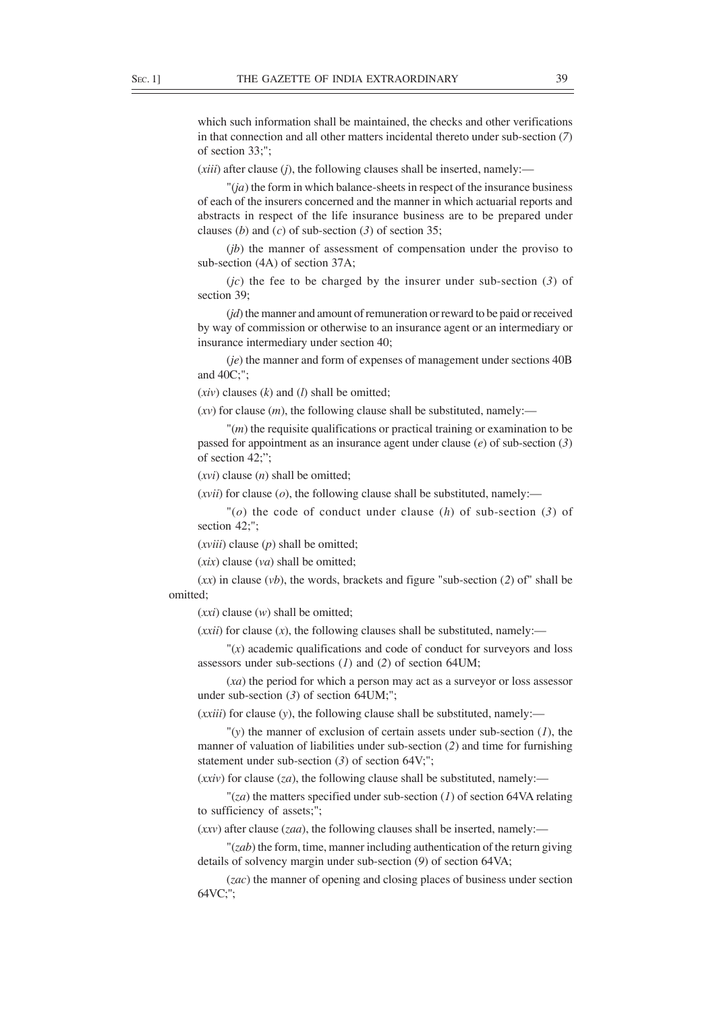which such information shall be maintained, the checks and other verifications in that connection and all other matters incidental thereto under sub-section (*7*) of section 33;";

(*xiii*) after clause (*j*), the following clauses shall be inserted, namely:—

"(*ja*) the form in which balance-sheets in respect of the insurance business of each of the insurers concerned and the manner in which actuarial reports and abstracts in respect of the life insurance business are to be prepared under clauses (*b*) and (*c*) of sub-section (*3*) of section 35;

(*jb*) the manner of assessment of compensation under the proviso to sub-section (4A) of section 37A;

(*jc*) the fee to be charged by the insurer under sub-section (*3*) of section 39;

(*jd*) the manner and amount of remuneration or reward to be paid or received by way of commission or otherwise to an insurance agent or an intermediary or insurance intermediary under section 40;

(*je*) the manner and form of expenses of management under sections 40B and 40C;";

(*xiv*) clauses (*k*) and (*l*) shall be omitted;

 $(xv)$  for clause  $(m)$ , the following clause shall be substituted, namely:—

"(*m*) the requisite qualifications or practical training or examination to be passed for appointment as an insurance agent under clause (*e*) of sub-section (*3*) of section 42;";

(*xvi*) clause (*n*) shall be omitted;

 $(xvii)$  for clause  $(o)$ , the following clause shall be substituted, namely:—

"(*o*) the code of conduct under clause (*h*) of sub-section (*3*) of section 42;";

(*xviii*) clause (*p*) shall be omitted;

(*xix*) clause (*va*) shall be omitted;

(*xx*) in clause (*vb*), the words, brackets and figure "sub-section (*2*) of" shall be omitted;

(*xxi*) clause (*w*) shall be omitted;

 $(xxii)$  for clause  $(x)$ , the following clauses shall be substituted, namely:—

 $''(x)$  academic qualifications and code of conduct for surveyors and loss assessors under sub-sections (*1*) and (*2*) of section 64UM;

(*xa*) the period for which a person may act as a surveyor or loss assessor under sub-section (*3*) of section 64UM;";

(*xxiii*) for clause (*y*), the following clause shall be substituted, namely:—

"(*y*) the manner of exclusion of certain assets under sub-section (*1*), the manner of valuation of liabilities under sub-section (*2*) and time for furnishing statement under sub-section (*3*) of section 64V;";

(*xxiv*) for clause (*za*), the following clause shall be substituted, namely:—

"(*za*) the matters specified under sub-section (*1*) of section 64VA relating to sufficiency of assets;";

(*xxv*) after clause (*zaa*), the following clauses shall be inserted, namely:—

"(*zab*) the form, time, manner including authentication of the return giving details of solvency margin under sub-section (*9*) of section 64VA;

(*zac*) the manner of opening and closing places of business under section 64VC;";